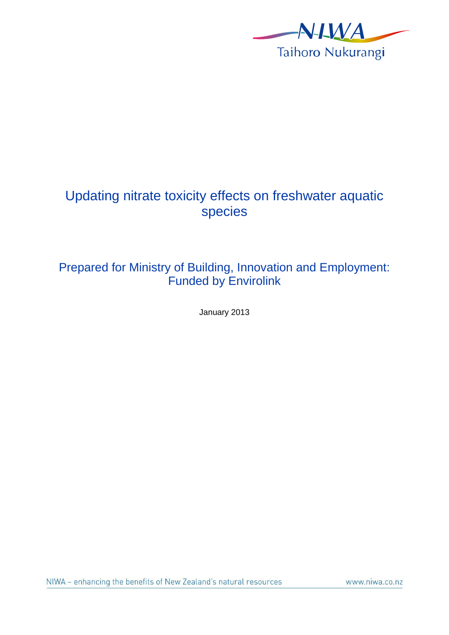

# Updating nitrate toxicity effects on freshwater aquatic species

# Prepared for Ministry of Building, Innovation and Employment: Funded by Envirolink

January 2013

www.niwa.co.nz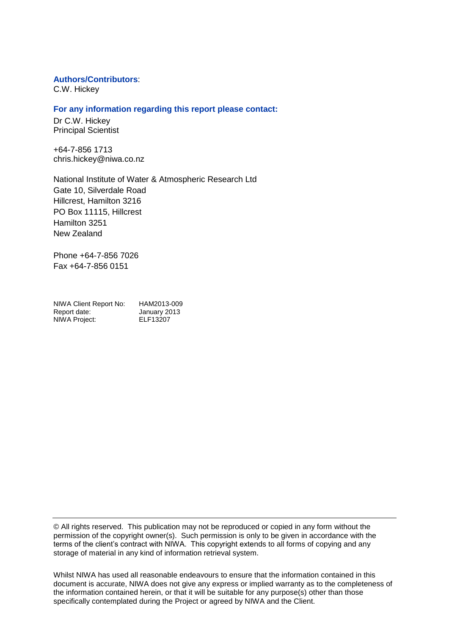#### **Authors/Contributors**:

C.W. Hickey

#### **For any information regarding this report please contact:**

Dr C.W. Hickey Principal Scientist

+64-7-856 1713 chris.hickey@niwa.co.nz

National Institute of Water & Atmospheric Research Ltd Gate 10, Silverdale Road Hillcrest, Hamilton 3216 PO Box 11115, Hillcrest Hamilton 3251 New Zealand

Phone +64-7-856 7026 Fax +64-7-856 0151

| NIWA Client Report No: | HAM2013-009  |
|------------------------|--------------|
| Report date:           | January 2013 |
| NIWA Project:          | ELF13207     |

© All rights reserved. This publication may not be reproduced or copied in any form without the permission of the copyright owner(s). Such permission is only to be given in accordance with the terms of the client's contract with NIWA. This copyright extends to all forms of copying and any storage of material in any kind of information retrieval system.

Whilst NIWA has used all reasonable endeavours to ensure that the information contained in this document is accurate, NIWA does not give any express or implied warranty as to the completeness of the information contained herein, or that it will be suitable for any purpose(s) other than those specifically contemplated during the Project or agreed by NIWA and the Client.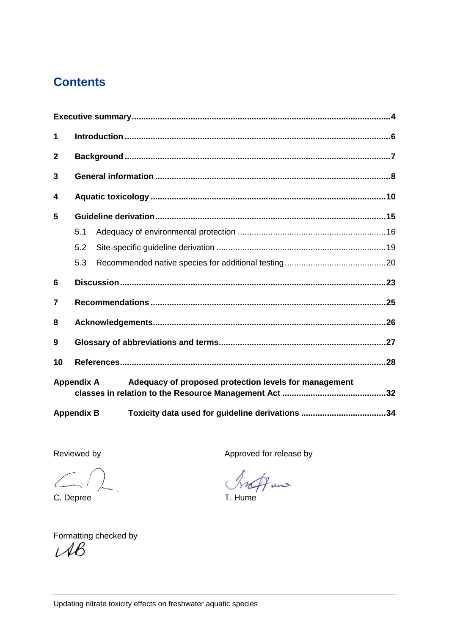# **Contents**

| 1              |                   |                                                       |  |  |  |  |  |  |  |  |
|----------------|-------------------|-------------------------------------------------------|--|--|--|--|--|--|--|--|
| $\overline{2}$ |                   |                                                       |  |  |  |  |  |  |  |  |
| 3              |                   |                                                       |  |  |  |  |  |  |  |  |
| 4              |                   |                                                       |  |  |  |  |  |  |  |  |
| 5              |                   |                                                       |  |  |  |  |  |  |  |  |
|                | 5.1               |                                                       |  |  |  |  |  |  |  |  |
|                | 5.2               |                                                       |  |  |  |  |  |  |  |  |
|                | 5.3               |                                                       |  |  |  |  |  |  |  |  |
| 6              |                   |                                                       |  |  |  |  |  |  |  |  |
| 7              |                   |                                                       |  |  |  |  |  |  |  |  |
| 8              |                   |                                                       |  |  |  |  |  |  |  |  |
| 9              |                   |                                                       |  |  |  |  |  |  |  |  |
| 10             |                   |                                                       |  |  |  |  |  |  |  |  |
|                | <b>Appendix A</b> | Adequacy of proposed protection levels for management |  |  |  |  |  |  |  |  |
|                | <b>Appendix B</b> |                                                       |  |  |  |  |  |  |  |  |

 $\leftarrow$ 

C. Depree T. Hume

Reviewed by **Approved for release by Approved for release by** 

Aun

Formatting checked by<br> $\mathcal{UB}$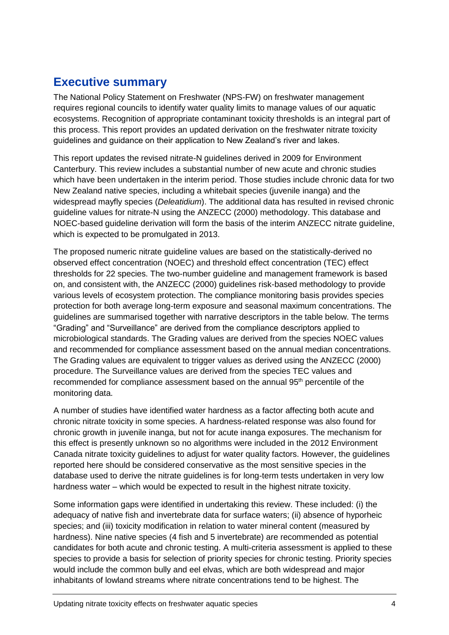# <span id="page-3-0"></span>**Executive summary**

The National Policy Statement on Freshwater (NPS-FW) on freshwater management requires regional councils to identify water quality limits to manage values of our aquatic ecosystems. Recognition of appropriate contaminant toxicity thresholds is an integral part of this process. This report provides an updated derivation on the freshwater nitrate toxicity guidelines and guidance on their application to New Zealand's river and lakes.

This report updates the revised nitrate-N guidelines derived in 2009 for Environment Canterbury. This review includes a substantial number of new acute and chronic studies which have been undertaken in the interim period. Those studies include chronic data for two New Zealand native species, including a whitebait species (juvenile inanga) and the widespread mayfly species (*Deleatidium*). The additional data has resulted in revised chronic guideline values for nitrate-N using the ANZECC (2000) methodology. This database and NOEC-based guideline derivation will form the basis of the interim ANZECC nitrate guideline, which is expected to be promulgated in 2013.

The proposed numeric nitrate guideline values are based on the statistically-derived no observed effect concentration (NOEC) and threshold effect concentration (TEC) effect thresholds for 22 species. The two-number guideline and management framework is based on, and consistent with, the ANZECC (2000) guidelines risk-based methodology to provide various levels of ecosystem protection. The compliance monitoring basis provides species protection for both average long-term exposure and seasonal maximum concentrations. The guidelines are summarised together with narrative descriptors in the table below. The terms "Grading" and "Surveillance" are derived from the compliance descriptors applied to microbiological standards. The Grading values are derived from the species NOEC values and recommended for compliance assessment based on the annual median concentrations. The Grading values are equivalent to trigger values as derived using the ANZECC (2000) procedure. The Surveillance values are derived from the species TEC values and recommended for compliance assessment based on the annual 95<sup>th</sup> percentile of the monitoring data.

A number of studies have identified water hardness as a factor affecting both acute and chronic nitrate toxicity in some species. A hardness-related response was also found for chronic growth in juvenile inanga, but not for acute inanga exposures. The mechanism for this effect is presently unknown so no algorithms were included in the 2012 Environment Canada nitrate toxicity guidelines to adjust for water quality factors. However, the guidelines reported here should be considered conservative as the most sensitive species in the database used to derive the nitrate guidelines is for long-term tests undertaken in very low hardness water – which would be expected to result in the highest nitrate toxicity.

Some information gaps were identified in undertaking this review. These included: (i) the adequacy of native fish and invertebrate data for surface waters; (ii) absence of hyporheic species; and (iii) toxicity modification in relation to water mineral content (measured by hardness). Nine native species (4 fish and 5 invertebrate) are recommended as potential candidates for both acute and chronic testing. A multi-criteria assessment is applied to these species to provide a basis for selection of priority species for chronic testing. Priority species would include the common bully and eel elvas, which are both widespread and major inhabitants of lowland streams where nitrate concentrations tend to be highest. The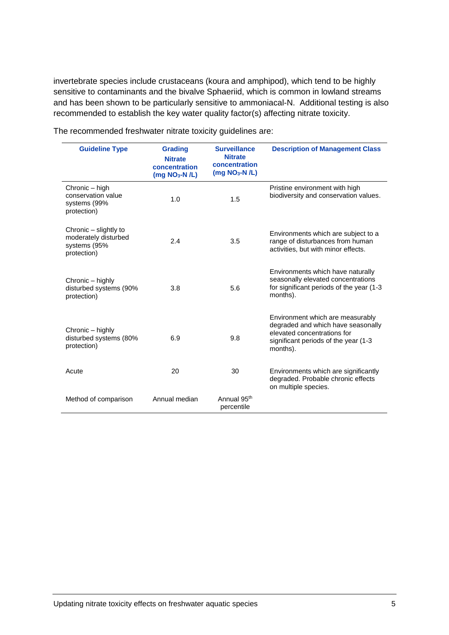invertebrate species include crustaceans (koura and amphipod), which tend to be highly sensitive to contaminants and the bivalve Sphaeriid, which is common in lowland streams and has been shown to be particularly sensitive to ammoniacal-N. Additional testing is also recommended to establish the key water quality factor(s) affecting nitrate toxicity.

| <b>Guideline Type</b>                                                        | <b>Grading</b><br><b>Nitrate</b><br>concentration<br>$(mg NO3-N/L)$ | <b>Surveillance</b><br><b>Nitrate</b><br>concentration<br>$(mg NO3-N/L)$ | <b>Description of Management Class</b>                                                                                                                     |
|------------------------------------------------------------------------------|---------------------------------------------------------------------|--------------------------------------------------------------------------|------------------------------------------------------------------------------------------------------------------------------------------------------------|
| Chronic – high<br>conservation value<br>systems (99%<br>protection)          | 1.0                                                                 | 1.5                                                                      | Pristine environment with high<br>biodiversity and conservation values.                                                                                    |
| Chronic – slightly to<br>moderately disturbed<br>systems (95%<br>protection) | 2.4                                                                 | 3.5                                                                      | Environments which are subject to a<br>range of disturbances from human<br>activities, but with minor effects.                                             |
| Chronic – highly<br>disturbed systems (90%<br>protection)                    | 3.8                                                                 | 5.6                                                                      | Environments which have naturally<br>seasonally elevated concentrations<br>for significant periods of the year (1-3)<br>months).                           |
| Chronic – highly<br>disturbed systems (80%<br>protection)                    | 6.9                                                                 | 9.8                                                                      | Environment which are measurably<br>degraded and which have seasonally<br>elevated concentrations for<br>significant periods of the year (1-3)<br>months). |
| Acute                                                                        | 20                                                                  | 30                                                                       | Environments which are significantly<br>degraded. Probable chronic effects<br>on multiple species.                                                         |
| Method of comparison                                                         | Annual median                                                       | Annual 95th<br>percentile                                                |                                                                                                                                                            |

The recommended freshwater nitrate toxicity guidelines are: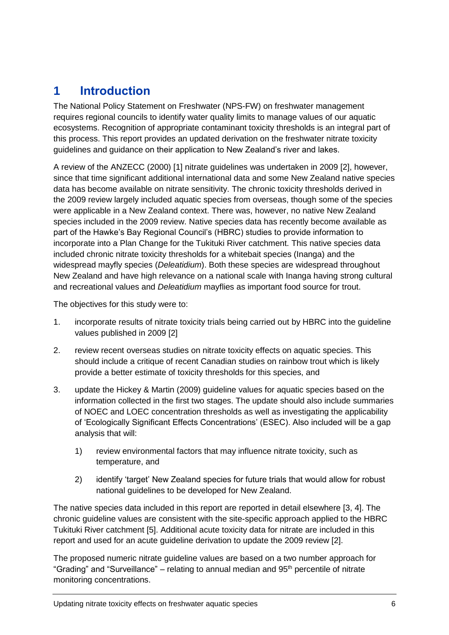# <span id="page-5-0"></span>**1 Introduction**

The National Policy Statement on Freshwater (NPS-FW) on freshwater management requires regional councils to identify water quality limits to manage values of our aquatic ecosystems. Recognition of appropriate contaminant toxicity thresholds is an integral part of this process. This report provides an updated derivation on the freshwater nitrate toxicity guidelines and guidance on their application to New Zealand's river and lakes.

A review of the ANZECC (2000) [\[1\]](#page-27-1) nitrate guidelines was undertaken in 2009 [\[2\]](#page-27-2), however, since that time significant additional international data and some New Zealand native species data has become available on nitrate sensitivity. The chronic toxicity thresholds derived in the 2009 review largely included aquatic species from overseas, though some of the species were applicable in a New Zealand context. There was, however, no native New Zealand species included in the 2009 review. Native species data has recently become available as part of the Hawke's Bay Regional Council's (HBRC) studies to provide information to incorporate into a Plan Change for the Tukituki River catchment. This native species data included chronic nitrate toxicity thresholds for a whitebait species (Inanga) and the widespread mayfly species (*Deleatidium*). Both these species are widespread throughout New Zealand and have high relevance on a national scale with Inanga having strong cultural and recreational values and *Deleatidium* mayflies as important food source for trout.

The objectives for this study were to:

- 1. incorporate results of nitrate toxicity trials being carried out by HBRC into the guideline values published in 2009 [\[2\]](#page-27-2)
- 2. review recent overseas studies on nitrate toxicity effects on aquatic species. This should include a critique of recent Canadian studies on rainbow trout which is likely provide a better estimate of toxicity thresholds for this species, and
- 3. update the Hickey & Martin (2009) guideline values for aquatic species based on the information collected in the first two stages. The update should also include summaries of NOEC and LOEC concentration thresholds as well as investigating the applicability of 'Ecologically Significant Effects Concentrations' (ESEC). Also included will be a gap analysis that will:
	- 1) review environmental factors that may influence nitrate toxicity, such as temperature, and
	- 2) identify 'target' New Zealand species for future trials that would allow for robust national guidelines to be developed for New Zealand.

The native species data included in this report are reported in detail elsewhere [\[3,](#page-27-3) [4\]](#page-27-4). The chronic guideline values are consistent with the site-specific approach applied to the HBRC Tukituki River catchment [\[5\]](#page-27-5). Additional acute toxicity data for nitrate are included in this report and used for an acute guideline derivation to update the 2009 review [\[2\]](#page-27-2).

The proposed numeric nitrate guideline values are based on a two number approach for "Grading" and "Surveillance" – relating to annual median and 95<sup>th</sup> percentile of nitrate monitoring concentrations.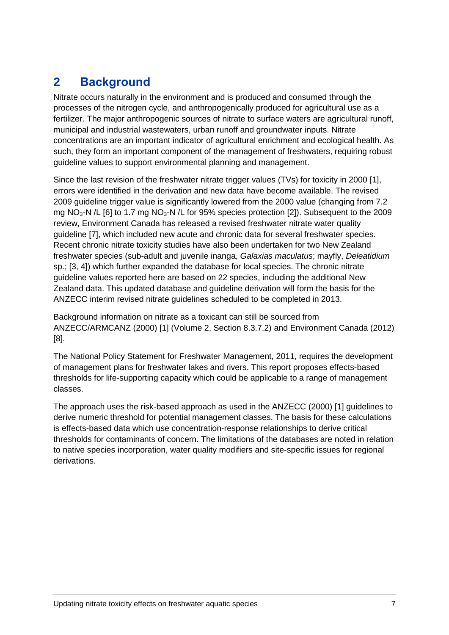# <span id="page-6-0"></span>**2 Background**

Nitrate occurs naturally in the environment and is produced and consumed through the processes of the nitrogen cycle, and anthropogenically produced for agricultural use as a fertilizer. The major anthropogenic sources of nitrate to surface waters are agricultural runoff, municipal and industrial wastewaters, urban runoff and groundwater inputs. Nitrate concentrations are an important indicator of agricultural enrichment and ecological health. As such, they form an important component of the management of freshwaters, requiring robust guideline values to support environmental planning and management.

Since the last revision of the freshwater nitrate trigger values (TVs) for toxicity in 2000 [\[1\]](#page-27-1), errors were identified in the derivation and new data have become available. The revised 2009 guideline trigger value is significantly lowered from the 2000 value (changing from 7.2 mg NO<sub>3</sub>-N /L [\[6\]](#page-27-6) to 1.7 mg NO<sub>3</sub>-N /L for 95% species protection [\[2\]](#page-27-2)). Subsequent to the 2009 review, Environment Canada has released a revised freshwater nitrate water quality guideline [\[7\]](#page-27-7), which included new acute and chronic data for several freshwater species. Recent chronic nitrate toxicity studies have also been undertaken for two New Zealand freshwater species (sub-adult and juvenile inanga, *Galaxias maculatus*; mayfly, *Deleatidium* sp.; [\[3,](#page-27-3) [4\]](#page-27-4)) which further expanded the database for local species. The chronic nitrate guideline values reported here are based on 22 species, including the additional New Zealand data. This updated database and guideline derivation will form the basis for the ANZECC interim revised nitrate guidelines scheduled to be completed in 2013.

Background information on nitrate as a toxicant can still be sourced from ANZECC/ARMCANZ (2000) [\[1\]](#page-27-1) (Volume 2, Section 8.3.7.2) and Environment Canada (2012) [\[8\]](#page-27-8).

The National Policy Statement for Freshwater Management, 2011, requires the development of management plans for freshwater lakes and rivers. This report proposes effects-based thresholds for life-supporting capacity which could be applicable to a range of management classes.

The approach uses the risk-based approach as used in the ANZECC (2000) [\[1\]](#page-27-1) guidelines to derive numeric threshold for potential management classes. The basis for these calculations is effects-based data which use concentration-response relationships to derive critical thresholds for contaminants of concern. The limitations of the databases are noted in relation to native species incorporation, water quality modifiers and site-specific issues for regional derivations.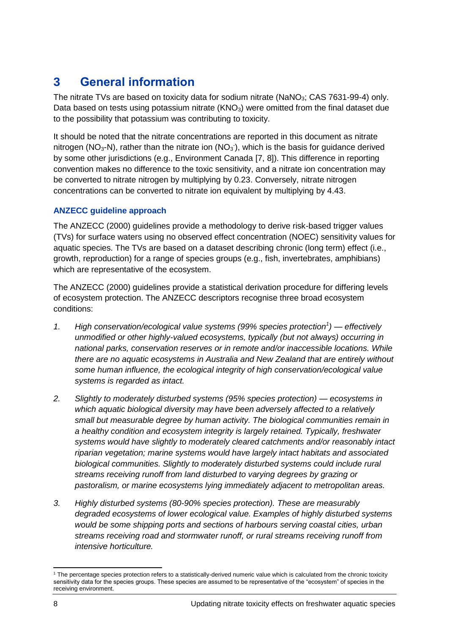# <span id="page-7-0"></span>**3 General information**

The nitrate TVs are based on toxicity data for sodium nitrate (NaNO<sub>3</sub>; CAS 7631-99-4) only. Data based on tests using potassium nitrate  $(KNO<sub>3</sub>)$  were omitted from the final dataset due to the possibility that potassium was contributing to toxicity.

It should be noted that the nitrate concentrations are reported in this document as nitrate nitrogen (NO<sub>3</sub>-N), rather than the nitrate ion (NO<sub>3</sub>), which is the basis for guidance derived by some other jurisdictions (e.g., Environment Canada [\[7,](#page-27-7) [8\]](#page-27-8)). This difference in reporting convention makes no difference to the toxic sensitivity, and a nitrate ion concentration may be converted to nitrate nitrogen by multiplying by 0.23. Conversely, nitrate nitrogen concentrations can be converted to nitrate ion equivalent by multiplying by 4.43.

### **ANZECC guideline approach**

The ANZECC (2000) guidelines provide a methodology to derive risk-based trigger values (TVs) for surface waters using no observed effect concentration (NOEC) sensitivity values for aquatic species. The TVs are based on a dataset describing chronic (long term) effect (i.e., growth, reproduction) for a range of species groups (e.g., fish, invertebrates, amphibians) which are representative of the ecosystem.

The ANZECC (2000) guidelines provide a statistical derivation procedure for differing levels of ecosystem protection. The ANZECC descriptors recognise three broad ecosystem conditions:

- *1. High conservation/ecological value systems (99% species protection<sup>1</sup> ) — effectively unmodified or other highly-valued ecosystems, typically (but not always) occurring in national parks, conservation reserves or in remote and/or inaccessible locations. While there are no aquatic ecosystems in Australia and New Zealand that are entirely without some human influence, the ecological integrity of high conservation/ecological value systems is regarded as intact.*
- *2. Slightly to moderately disturbed systems (95% species protection) — ecosystems in which aquatic biological diversity may have been adversely affected to a relatively small but measurable degree by human activity. The biological communities remain in a healthy condition and ecosystem integrity is largely retained. Typically, freshwater systems would have slightly to moderately cleared catchments and/or reasonably intact riparian vegetation; marine systems would have largely intact habitats and associated biological communities. Slightly to moderately disturbed systems could include rural streams receiving runoff from land disturbed to varying degrees by grazing or pastoralism, or marine ecosystems lying immediately adjacent to metropolitan areas.*
- *3. Highly disturbed systems (80-90% species protection). These are measurably degraded ecosystems of lower ecological value. Examples of highly disturbed systems would be some shipping ports and sections of harbours serving coastal cities, urban streams receiving road and stormwater runoff, or rural streams receiving runoff from intensive horticulture.*

 $\overline{a}$ <sup>1</sup> The percentage species protection refers to a statistically-derived numeric value which is calculated from the chronic toxicity sensitivity data for the species groups. These species are assumed to be representative of the "ecosystem" of species in the receiving environment.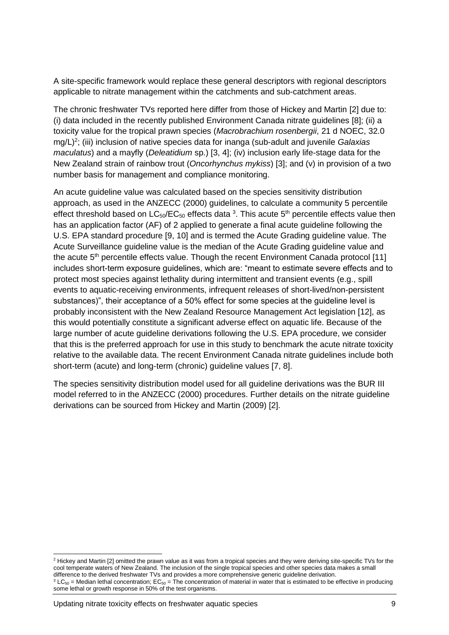A site-specific framework would replace these general descriptors with regional descriptors applicable to nitrate management within the catchments and sub-catchment areas.

The chronic freshwater TVs reported here differ from those of Hickey and Martin [\[2\]](#page-27-2) due to: (i) data included in the recently published Environment Canada nitrate guidelines [\[8\]](#page-27-8); (ii) a toxicity value for the tropical prawn species (*Macrobrachium rosenbergii*, 21 d NOEC, 32.0 mg/L)<sup>2</sup>; (iii) inclusion of native species data for inanga (sub-adult and juvenile *Galaxias maculatus*) and a mayfly (*Deleatidium* sp.) [\[3,](#page-27-3) [4\]](#page-27-4); (iv) inclusion early life-stage data for the New Zealand strain of rainbow trout (*Oncorhynchus mykiss*) [\[3\]](#page-27-3); and (v) in provision of a two number basis for management and compliance monitoring.

An acute guideline value was calculated based on the species sensitivity distribution approach, as used in the ANZECC (2000) guidelines, to calculate a community 5 percentile effect threshold based on LC<sub>50</sub>/EC<sub>50</sub> effects data <sup>3</sup>. This acute 5<sup>th</sup> percentile effects value then has an application factor (AF) of 2 applied to generate a final acute guideline following the U.S. EPA standard procedure [\[9,](#page-27-9) [10\]](#page-27-10) and is termed the Acute Grading guideline value. The Acute Surveillance guideline value is the median of the Acute Grading guideline value and the acute  $5<sup>th</sup>$  percentile effects value. Though the recent Environment Canada protocol [\[11\]](#page-27-11) includes short-term exposure guidelines, which are: "meant to estimate severe effects and to protect most species against lethality during intermittent and transient events (e.g., spill events to aquatic-receiving environments, infrequent releases of short-lived/non-persistent substances)", their acceptance of a 50% effect for some species at the guideline level is probably inconsistent with the New Zealand Resource Management Act legislation [\[12\]](#page-27-12), as this would potentially constitute a significant adverse effect on aquatic life. Because of the large number of acute guideline derivations following the U.S. EPA procedure, we consider that this is the preferred approach for use in this study to benchmark the acute nitrate toxicity relative to the available data. The recent Environment Canada nitrate guidelines include both short-term (acute) and long-term (chronic) guideline values [\[7,](#page-27-7) [8\]](#page-27-8).

The species sensitivity distribution model used for all guideline derivations was the BUR III model referred to in the ANZECC (2000) procedures. Further details on the nitrate guideline derivations can be sourced from Hickey and Martin (2009) [\[2\]](#page-27-2).

 $\overline{a}$ 

<sup>&</sup>lt;sup>2</sup> Hickey and Martin [2] omitted the prawn value as it was from a tropical species and they were deriving site-specific TVs for the cool temperate waters of New Zealand. The inclusion of the single tropical species and other species data makes a small difference to the derived freshwater TVs and provides a more comprehensive generic guideline derivation.  $3 LC_{50}$  = Median lethal concentration; EC<sub>50</sub> = The concentration of material in water that is estimated to be effective in producing some lethal or growth response in 50% of the test organisms.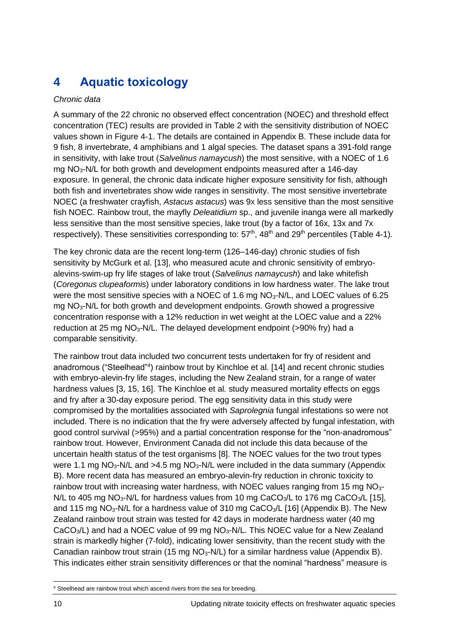# <span id="page-9-0"></span>**4 Aquatic toxicology**

### *Chronic data*

A summary of the 22 chronic no observed effect concentration (NOEC) and threshold effect concentration (TEC) results are provided in Table 2 with the sensitivity distribution of NOEC values shown in [Figure 4-1.](#page-11-0) The details are contained in [Appendix B.](#page-33-0) These include data for 9 fish, 8 invertebrate, 4 amphibians and 1 algal species. The dataset spans a 391-fold range in sensitivity, with lake trout (*Salvelinus namaycush*) the most sensitive, with a NOEC of 1.6 mg NO3-N/L for both growth and development endpoints measured after a 146-day exposure. In general, the chronic data indicate higher exposure sensitivity for fish, although both fish and invertebrates show wide ranges in sensitivity. The most sensitive invertebrate NOEC (a freshwater crayfish, *Astacus astacus*) was 9x less sensitive than the most sensitive fish NOEC. Rainbow trout, the mayfly *Deleatidium* sp., and juvenile inanga were all markedly less sensitive than the most sensitive species, lake trout (by a factor of 16x, 13x and 7x respectively). These sensitivities corresponding to:  $57<sup>th</sup>$ ,  $48<sup>th</sup>$  and  $29<sup>th</sup>$  percentiles (Table 4-1).

The key chronic data are the recent long-term (126–146-day) chronic studies of fish sensitivity by McGurk et al. [\[13\]](#page-27-13), who measured acute and chronic sensitivity of embryoalevins-swim-up fry life stages of lake trout (*Salvelinus namaycush*) and lake whitefish (*Coregonus clupeaformis*) under laboratory conditions in low hardness water. The lake trout were the most sensitive species with a NOEC of 1.6 mg NO<sub>3</sub>-N/L, and LOEC values of 6.25 mg NO<sub>3</sub>-N/L for both growth and development endpoints. Growth showed a progressive concentration response with a 12% reduction in wet weight at the LOEC value and a 22% reduction at 25 mg NO3-N/L. The delayed development endpoint (>90% fry) had a comparable sensitivity.

The rainbow trout data included two concurrent tests undertaken for fry of resident and anadromous ("Steelhead"<sup>4</sup>) rainbow trout by Kinchloe et al. [\[14\]](#page-27-14) and recent chronic studies with embryo-alevin-fry life stages, including the New Zealand strain, for a range of water hardness values [\[3,](#page-27-3) [15,](#page-28-0) [16\]](#page-28-1). The Kinchloe et al*.* study measured mortality effects on eggs and fry after a 30-day exposure period. The egg sensitivity data in this study were compromised by the mortalities associated with *Saprolegnia* fungal infestations so were not included. There is no indication that the fry were adversely affected by fungal infestation, with good control survival (>95%) and a partial concentration response for the "non-anadromous" rainbow trout. However, Environment Canada did not include this data because of the uncertain health status of the test organisms [\[8\]](#page-27-8). The NOEC values for the two trout types were 1.1 mg  $NO<sub>3</sub>-N/L$  and  $>4.5$  mg  $NO<sub>3</sub>-N/L$  were included in the data summary (Appendix [B\)](#page-33-0). More recent data has measured an embryo-alevin-fry reduction in chronic toxicity to rainbow trout with increasing water hardness, with NOEC values ranging from 15 mg NO<sub>3</sub>-N/L to 405 mg NO<sub>3</sub>-N/L for hardness values from 10 mg CaCO<sub>3</sub>/L to 176 mg CaCO<sub>3</sub>/L [\[15\]](#page-28-0), and 115 mg NO<sub>3</sub>-N/L for a hardness value of 310 mg CaCO<sub>3</sub>/L [\[16\]](#page-28-1) [\(Appendix B\)](#page-33-0). The New Zealand rainbow trout strain was tested for 42 days in moderate hardness water (40 mg  $CaCO<sub>3</sub>/L$ ) and had a NOEC value of 99 mg NO<sub>3</sub>-N/L. This NOEC value for a New Zealand strain is markedly higher (7-fold), indicating lower sensitivity, than the recent study with the Canadian rainbow trout strain (15 mg  $NO<sub>3</sub>-N/L$ ) for a similar hardness value [\(Appendix B\)](#page-33-0). This indicates either strain sensitivity differences or that the nominal "hardness" measure is

 $\overline{a}$ <sup>4</sup> Steelhead are rainbow trout which ascend rivers from the sea for breeding.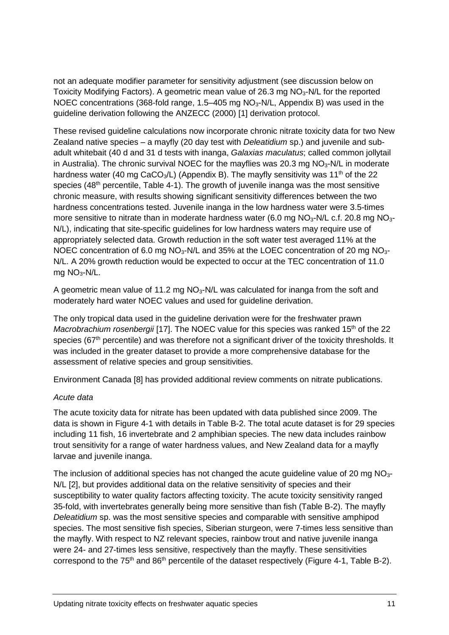not an adequate modifier parameter for sensitivity adjustment (see discussion below on Toxicity Modifying Factors). A geometric mean value of  $26.3$  mg  $NO<sub>3</sub>-N/L$  for the reported NOEC concentrations (368-fold range, 1.5–405 mg  $NO<sub>3</sub>-N/L$ , [Appendix B\)](#page-33-0) was used in the guideline derivation following the ANZECC (2000) [\[1\]](#page-27-1) derivation protocol.

These revised guideline calculations now incorporate chronic nitrate toxicity data for two New Zealand native species – a mayfly (20 day test with *Deleatidium* sp.) and juvenile and subadult whitebait (40 d and 31 d tests with inanga, *Galaxias maculatus*; called common jollytail in Australia). The chronic survival NOEC for the mayflies was 20.3 mg  $NO<sub>3</sub>-N/L$  in moderate hardness water (40 mg CaCO<sub>3</sub>/L) [\(Appendix B\)](#page-33-0). The mayfly sensitivity was 11<sup>th</sup> of the 22 species (48<sup>th</sup> percentile, Table 4-1). The growth of juvenile inanga was the most sensitive chronic measure, with results showing significant sensitivity differences between the two hardness concentrations tested. Juvenile inanga in the low hardness water were 3.5-times more sensitive to nitrate than in moderate hardness water (6.0 mg  $NO<sub>3</sub>-N/L$  c.f. 20.8 mg  $NO<sub>3</sub>-$ N/L), indicating that site-specific guidelines for low hardness waters may require use of appropriately selected data. Growth reduction in the soft water test averaged 11% at the NOEC concentration of 6.0 mg  $NO<sub>3</sub>-N/L$  and 35% at the LOEC concentration of 20 mg  $NO<sub>3</sub>-$ N/L. A 20% growth reduction would be expected to occur at the TEC concentration of 11.0 mg  $NO<sub>3</sub>-N/L$ .

A geometric mean value of 11.2 mg  $NO<sub>3</sub>-N/L$  was calculated for inanga from the soft and moderately hard water NOEC values and used for guideline derivation.

The only tropical data used in the guideline derivation were for the freshwater prawn *Macrobrachium rosenbergii* [\[17\]](#page-28-2). The NOEC value for this species was ranked 15<sup>th</sup> of the 22 species ( $67<sup>th</sup>$  percentile) and was therefore not a significant driver of the toxicity thresholds. It was included in the greater dataset to provide a more comprehensive database for the assessment of relative species and group sensitivities.

Environment Canada [\[8\]](#page-27-8) has provided additional review comments on nitrate publications.

#### *Acute data*

The acute toxicity data for nitrate has been updated with data published since 2009. The data is shown in [Figure 4-1](#page-11-0) with details in [Table B-2.](#page-36-0) The total acute dataset is for 29 species including 11 fish, 16 invertebrate and 2 amphibian species. The new data includes rainbow trout sensitivity for a range of water hardness values, and New Zealand data for a mayfly larvae and juvenile inanga.

The inclusion of additional species has not changed the acute guideline value of 20 mg  $NO<sub>3</sub>$ -N/L [\[2\]](#page-27-2), but provides additional data on the relative sensitivity of species and their susceptibility to water quality factors affecting toxicity. The acute toxicity sensitivity ranged 35-fold, with invertebrates generally being more sensitive than fish [\(Table B-2\)](#page-36-0). The mayfly *Deleatidium* sp. was the most sensitive species and comparable with sensitive amphipod species. The most sensitive fish species, Siberian sturgeon, were 7-times less sensitive than the mayfly. With respect to NZ relevant species, rainbow trout and native juvenile inanga were 24- and 27-times less sensitive, respectively than the mayfly. These sensitivities correspond to the 75<sup>th</sup> and 86<sup>th</sup> percentile of the dataset respectively [\(Figure 4-1,](#page-11-0) [Table B-2\)](#page-36-0).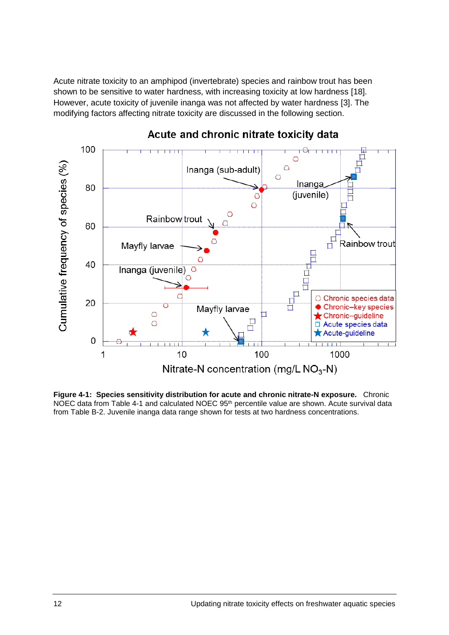Acute nitrate toxicity to an amphipod (invertebrate) species and rainbow trout has been shown to be sensitive to water hardness, with increasing toxicity at low hardness [\[18\]](#page-28-3). However, acute toxicity of juvenile inanga was not affected by water hardness [\[3\]](#page-27-3). The modifying factors affecting nitrate toxicity are discussed in the following section.



### Acute and chronic nitrate toxicity data

<span id="page-11-0"></span>**Figure 4-1: Species sensitivity distribution for acute and chronic nitrate-N exposure.** Chronic NOEC data from [Table 4-1](#page-12-0) and calculated NOEC 95<sup>th</sup> percentile value are shown. Acute survival data from [Table B-2.](#page-36-0) Juvenile inanga data range shown for tests at two hardness concentrations.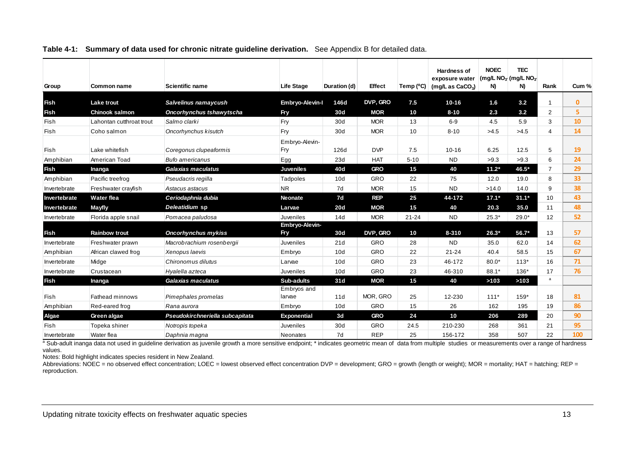| Group        | <b>Common name</b>       | <b>Scientific name</b>                                                                                                                                                                                                    | <b>Life Stage</b>  | Duration (d) | Effect     | Temp (°C) | <b>Hardness of</b><br>exposure water | <b>NOEC</b> | <b>TEC</b><br>(mg/L $NO3$ (mg/L $NO3$ | Rank           | Cum %        |
|--------------|--------------------------|---------------------------------------------------------------------------------------------------------------------------------------------------------------------------------------------------------------------------|--------------------|--------------|------------|-----------|--------------------------------------|-------------|---------------------------------------|----------------|--------------|
|              |                          |                                                                                                                                                                                                                           |                    |              |            |           | (mg/L as $CaCO3$ )                   | N)          | N)                                    |                |              |
| Fish         | <b>Lake trout</b>        | Salvelinus namaycush                                                                                                                                                                                                      | Embryo-Alevin-I    | 146d         | DVP, GRO   | 7.5       | $10 - 16$                            | 1.6         | 3.2                                   |                | $\mathbf{0}$ |
| <b>Fish</b>  | <b>Chinook salmon</b>    | Oncorhynchus tshawytscha                                                                                                                                                                                                  | Fry                | 30d          | <b>MOR</b> | 10        | $8 - 10$                             | 2.3         | 3.2                                   | $\overline{2}$ | 5            |
| Fish         | Lahontan cutthroat trout | Salmo clarki                                                                                                                                                                                                              | Fry                | 30d          | <b>MOR</b> | 13        | $6-9$                                | 4.5         | 5.9                                   | 3              | 10           |
| Fish         | Coho salmon              | Oncorhynchus kisutch                                                                                                                                                                                                      | Fry                | 30d          | <b>MOR</b> | 10        | $8 - 10$                             | >4.5        | >4.5                                  | 4              | 14           |
|              |                          |                                                                                                                                                                                                                           | Embryo-Alevin-     |              |            |           |                                      |             |                                       |                |              |
| Fish         | Lake whitefish           | Coregonus clupeaformis                                                                                                                                                                                                    | Fry                | 126d         | <b>DVP</b> | 7.5       | $10 - 16$                            | 6.25        | 12.5                                  | 5              | 19           |
| Amphibian    | American Toad            | <b>Bufo americanus</b>                                                                                                                                                                                                    | Egg                | 23d          | <b>HAT</b> | $5 - 10$  | <b>ND</b>                            | >9.3        | >9.3                                  | 6              | 24           |
| <b>Fish</b>  | Inanga                   | Galaxias maculatus                                                                                                                                                                                                        | <b>Juveniles</b>   | 40d          | <b>GRO</b> | 15        | 40                                   | $11.2*$     | 46.5*                                 | $\overline{7}$ | 29           |
| Amphibian    | Pacific treefrog         | Pseudacris regilla                                                                                                                                                                                                        | Tadpoles           | 10d          | GRO        | 22        | 75                                   | 12.0        | 19.0                                  | 8              | 33           |
| Invertebrate | Freshwater crayfish      | Astacus astacus                                                                                                                                                                                                           | <b>NR</b>          | 7d           | <b>MOR</b> | 15        | <b>ND</b>                            | >14.0       | 14.0                                  | 9              | 38           |
| Invertebrate | <b>Water flea</b>        | Ceriodaphnia dubia                                                                                                                                                                                                        | <b>Neonate</b>     | 7d           | <b>REP</b> | 25        | 44-172                               | $17.1*$     | $31.1*$                               | 10             | 43           |
| Invertebrate | <b>Mayfly</b>            | Deleatidium sp                                                                                                                                                                                                            | Larvae             | 20d          | <b>MOR</b> | 15        | 40                                   | 20.3        | 35.0                                  | 11             | 48           |
| Invertebrate | Florida apple snail      | Pomacea paludosa                                                                                                                                                                                                          | Juveniles          | 14d          | <b>MOR</b> | $21 - 24$ | <b>ND</b>                            | $25.3*$     | $29.0*$                               | 12             | 52           |
|              |                          |                                                                                                                                                                                                                           | Embryo-Alevin-     |              |            |           |                                      |             |                                       |                |              |
| <b>Fish</b>  | <b>Rainbow trout</b>     | <b>Oncorhynchus mykiss</b>                                                                                                                                                                                                | <b>Fry</b>         | 30d          | DVP, GRO   | 10        | $8 - 310$                            | $26.3*$     | 56.7*                                 | 13             | 57           |
| Invertebrate | Freshwater prawn         | Macrobrachium rosenbergii                                                                                                                                                                                                 | Juveniles          | 21d          | GRO        | 28        | <b>ND</b>                            | 35.0        | 62.0                                  | 14             | 62           |
| Amphibian    | African clawed frog      | Xenopus laevis                                                                                                                                                                                                            | Embryo             | 10d          | GRO        | 22        | $21 - 24$                            | 40.4        | 58.5                                  | 15             | 67           |
| Invertebrate | Midge                    | Chironomus dilutus                                                                                                                                                                                                        | Larvae             | 10d          | GRO        | 23        | 46-172                               | $80.0*$     | $113*$                                | 16             | 71           |
| Invertebrate | Crustacean               | Hyalella azteca                                                                                                                                                                                                           | Juveniles          | 10d          | GRO        | 23        | 46-310                               | $88.1*$     | $136*$                                | 17             | 76           |
| <b>Fish</b>  | Inanga                   | Galaxias maculatus                                                                                                                                                                                                        | Sub-adults         | 31d          | <b>MOR</b> | 15        | 40                                   | >103        | >103                                  | $\mathbf{a}$   |              |
|              | <b>Fathead minnows</b>   | Pimephales promelas                                                                                                                                                                                                       | Embryos and        | 11d          | MOR, GRO   | 25        | 12-230                               | $111*$      | 159*                                  | 18             | 81           |
| Fish         |                          |                                                                                                                                                                                                                           | larvae             |              | GRO        |           |                                      |             |                                       |                | 86           |
| Amphibian    | Red-eared frog           | Rana aurora                                                                                                                                                                                                               | Embryo             | 10d          |            | 15        | 26                                   | 162         | 195                                   | 19             |              |
| Algae        | Green algae              | Pseudokirchneriella subcapitata                                                                                                                                                                                           | <b>Exponential</b> | 3d           | <b>GRO</b> | 24        | 10                                   | 206         | 289                                   | 20             | 90           |
| Fish         | Topeka shiner            | Notropis topeka                                                                                                                                                                                                           | Juveniles          | 30d          | GRO        | 24.5      | 210-230                              | 268         | 361                                   | 21             | 95           |
| Invertebrate | Water flea               | Daphnia magna<br>a Sub-adult inanga data not used in guideline derivation as juvenile growth a more sensitive endpoint; * indicates geometric mean of data from multiple studies or measurements over a range of hardness | <b>Neonates</b>    | 7d           | <b>REP</b> | 25        | 156-172                              | 358         | 507                                   | 22             | 100          |

#### **Table 4-1: Summary of data used for chronic nitrate guideline derivation.** See [Appendix B](#page-33-1) for detailed data.

<span id="page-12-0"></span>values.

Notes: Bold highlight indicates species resident in New Zealand.

Abbreviations: NOEC = no observed effect concentration; LOEC = lowest observed effect concentration DVP = development; GRO = growth (length or weight); MOR = mortality; HAT = hatching; REP = reproduction.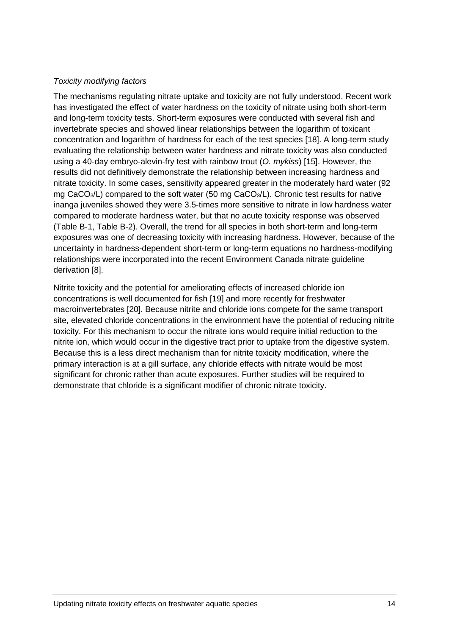### *Toxicity modifying factors*

The mechanisms regulating nitrate uptake and toxicity are not fully understood. Recent work has investigated the effect of water hardness on the toxicity of nitrate using both short-term and long-term toxicity tests. Short-term exposures were conducted with several fish and invertebrate species and showed linear relationships between the logarithm of toxicant concentration and logarithm of hardness for each of the test species [\[18\]](#page-28-3). A long-term study evaluating the relationship between water hardness and nitrate toxicity was also conducted using a 40-day embryo-alevin-fry test with rainbow trout (*O. mykiss*) [\[15\]](#page-28-0). However, the results did not definitively demonstrate the relationship between increasing hardness and nitrate toxicity. In some cases, sensitivity appeared greater in the moderately hard water (92 mg CaCO<sub>3</sub>/L) compared to the soft water (50 mg CaCO<sub>3</sub>/L). Chronic test results for native inanga juveniles showed they were 3.5-times more sensitive to nitrate in low hardness water compared to moderate hardness water, but that no acute toxicity response was observed [\(Table B-1,](#page-33-2) [Table B-2\)](#page-36-0). Overall, the trend for all species in both short-term and long-term exposures was one of decreasing toxicity with increasing hardness. However, because of the uncertainty in hardness-dependent short-term or long-term equations no hardness-modifying relationships were incorporated into the recent Environment Canada nitrate guideline derivation [\[8\]](#page-27-8).

Nitrite toxicity and the potential for ameliorating effects of increased chloride ion concentrations is well documented for fish [\[19\]](#page-28-4) and more recently for freshwater macroinvertebrates [\[20\]](#page-28-5). Because nitrite and chloride ions compete for the same transport site, elevated chloride concentrations in the environment have the potential of reducing nitrite toxicity. For this mechanism to occur the nitrate ions would require initial reduction to the nitrite ion, which would occur in the digestive tract prior to uptake from the digestive system. Because this is a less direct mechanism than for nitrite toxicity modification, where the primary interaction is at a gill surface, any chloride effects with nitrate would be most significant for chronic rather than acute exposures. Further studies will be required to demonstrate that chloride is a significant modifier of chronic nitrate toxicity.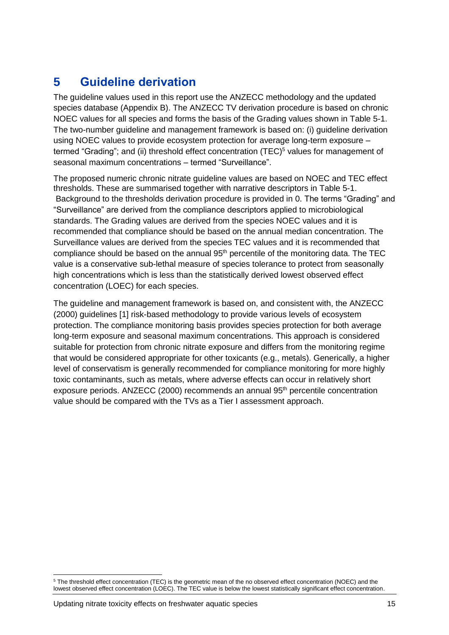# <span id="page-14-0"></span>**5 Guideline derivation**

The guideline values used in this report use the ANZECC methodology and the updated species database [\(Appendix B\)](#page-33-0). The ANZECC TV derivation procedure is based on chronic NOEC values for all species and forms the basis of the Grading values shown in Table 5-1. The two-number guideline and management framework is based on: (i) guideline derivation using NOEC values to provide ecosystem protection for average long-term exposure – termed "Grading"; and (ii) threshold effect concentration (TEC)<sup>5</sup> values for management of seasonal maximum concentrations – termed "Surveillance".

The proposed numeric chronic nitrate guideline values are based on NOEC and TEC effect thresholds. These are summarised together with narrative descriptors in Table 5-1. Background to the thresholds derivation procedure is provided in [0.](#page-31-1) The terms "Grading" and "Surveillance" are derived from the compliance descriptors applied to microbiological standards. The Grading values are derived from the species NOEC values and it is recommended that compliance should be based on the annual median concentration. The Surveillance values are derived from the species TEC values and it is recommended that compliance should be based on the annual 95<sup>th</sup> percentile of the monitoring data. The TEC value is a conservative sub-lethal measure of species tolerance to protect from seasonally high concentrations which is less than the statistically derived lowest observed effect concentration (LOEC) for each species.

The guideline and management framework is based on, and consistent with, the ANZECC (2000) guidelines [\[1\]](#page-27-1) risk-based methodology to provide various levels of ecosystem protection. The compliance monitoring basis provides species protection for both average long-term exposure and seasonal maximum concentrations. This approach is considered suitable for protection from chronic nitrate exposure and differs from the monitoring regime that would be considered appropriate for other toxicants (e.g., metals). Generically, a higher level of conservatism is generally recommended for compliance monitoring for more highly toxic contaminants, such as metals, where adverse effects can occur in relatively short exposure periods. ANZECC (2000) recommends an annual 95<sup>th</sup> percentile concentration value should be compared with the TVs as a Tier I assessment approach.

 $\overline{a}$ <sup>5</sup> The threshold effect concentration (TEC) is the geometric mean of the no observed effect concentration (NOEC) and the lowest observed effect concentration (LOEC). The TEC value is below the lowest statistically significant effect concentration.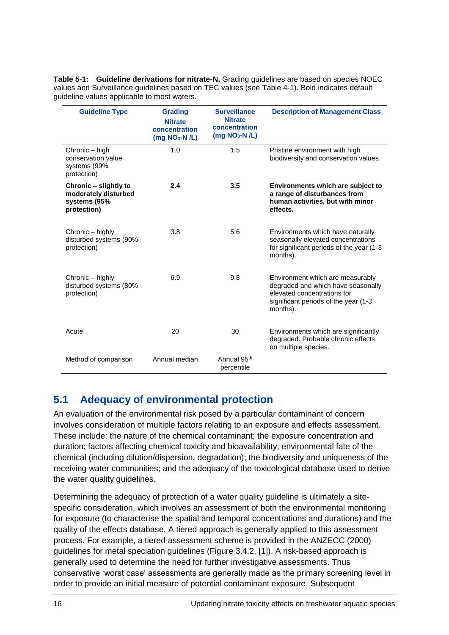**Table 5-1: Guideline derivations for nitrate-N.** Grading guidelines are based on species NOEC values and Surveillance guidelines based on TEC values (see [Table 4-1\)](#page-12-0). Bold indicates default guideline values applicable to most waters.

| <b>Guideline Type</b>                                                        | <b>Grading</b><br><b>Nitrate</b><br>concentration<br>$(mg NO3-N/L)$ | <b>Surveillance</b><br><b>Nitrate</b><br>concentration<br>$(mg NO3-N/L)$ | <b>Description of Management Class</b>                                                                                                                     |
|------------------------------------------------------------------------------|---------------------------------------------------------------------|--------------------------------------------------------------------------|------------------------------------------------------------------------------------------------------------------------------------------------------------|
| Chronic - high<br>conservation value<br>systems (99%<br>protection)          | 1.0                                                                 | 1.5                                                                      | Pristine environment with high<br>biodiversity and conservation values.                                                                                    |
| Chronic – slightly to<br>moderately disturbed<br>systems (95%<br>protection) | 2.4                                                                 | 3.5                                                                      | Environments which are subject to<br>a range of disturbances from<br>human activities, but with minor<br>effects.                                          |
| Chronic – highly<br>disturbed systems (90%<br>protection)                    | 3.8                                                                 | 5.6                                                                      | Environments which have naturally<br>seasonally elevated concentrations<br>for significant periods of the year (1-3<br>months).                            |
| Chronic – highly<br>disturbed systems (80%<br>protection)                    | 6.9                                                                 | 9.8                                                                      | Environment which are measurably<br>degraded and which have seasonally<br>elevated concentrations for<br>significant periods of the year (1-3)<br>months). |
| Acute                                                                        | 20                                                                  | 30                                                                       | Environments which are significantly<br>degraded. Probable chronic effects<br>on multiple species.                                                         |
| Method of comparison                                                         | Annual median                                                       | Annual 95 <sup>th</sup><br>percentile                                    |                                                                                                                                                            |

### <span id="page-15-0"></span>**5.1 Adequacy of environmental protection**

An evaluation of the environmental risk posed by a particular contaminant of concern involves consideration of multiple factors relating to an exposure and effects assessment. These include: the nature of the chemical contaminant; the exposure concentration and duration; factors affecting chemical toxicity and bioavailability; environmental fate of the chemical (including dilution/dispersion, degradation); the biodiversity and uniqueness of the receiving water communities; and the adequacy of the toxicological database used to derive the water quality guidelines.

Determining the adequacy of protection of a water quality guideline is ultimately a sitespecific consideration, which involves an assessment of both the environmental monitoring for exposure (to characterise the spatial and temporal concentrations and durations) and the quality of the effects database. A tiered approach is generally applied to this assessment process. For example, a tiered assessment scheme is provided in the ANZECC (2000) guidelines for metal speciation guidelines (Figure 3.4.2, [\[1\]](#page-27-1)). A risk-based approach is generally used to determine the need for further investigative assessments. Thus conservative 'worst case' assessments are generally made as the primary screening level in order to provide an initial measure of potential contaminant exposure. Subsequent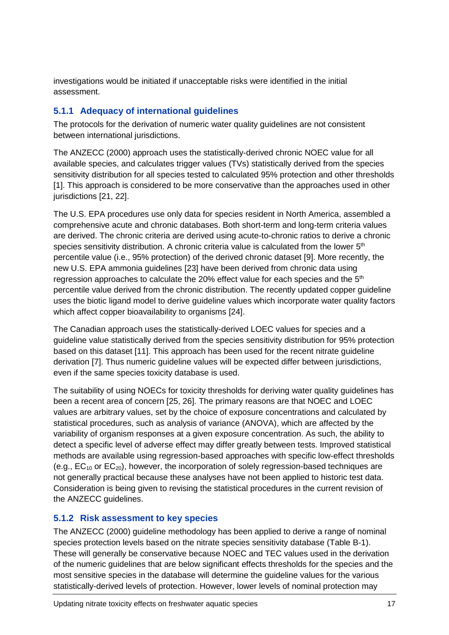investigations would be initiated if unacceptable risks were identified in the initial assessment.

### **5.1.1 Adequacy of international guidelines**

The protocols for the derivation of numeric water quality guidelines are not consistent between international jurisdictions.

The ANZECC (2000) approach uses the statistically-derived chronic NOEC value for all available species, and calculates trigger values (TVs) statistically derived from the species sensitivity distribution for all species tested to calculated 95% protection and other thresholds [\[1\]](#page-27-1). This approach is considered to be more conservative than the approaches used in other jurisdictions [\[21,](#page-28-6) [22\]](#page-28-7).

The U.S. EPA procedures use only data for species resident in North America, assembled a comprehensive acute and chronic databases. Both short-term and long-term criteria values are derived. The chronic criteria are derived using acute-to-chronic ratios to derive a chronic species sensitivity distribution. A chronic criteria value is calculated from the lower  $5<sup>th</sup>$ percentile value (i.e., 95% protection) of the derived chronic dataset [\[9\]](#page-27-9). More recently, the new U.S. EPA ammonia guidelines [\[23\]](#page-28-8) have been derived from chronic data using regression approaches to calculate the 20% effect value for each species and the  $5<sup>th</sup>$ percentile value derived from the chronic distribution. The recently updated copper guideline uses the biotic ligand model to derive guideline values which incorporate water quality factors which affect copper bioavailability to organisms [\[24\]](#page-28-9).

The Canadian approach uses the statistically-derived LOEC values for species and a guideline value statistically derived from the species sensitivity distribution for 95% protection based on this dataset [\[11\]](#page-27-11). This approach has been used for the recent nitrate guideline derivation [\[7\]](#page-27-7). Thus numeric guideline values will be expected differ between jurisdictions, even if the same species toxicity database is used.

The suitability of using NOECs for toxicity thresholds for deriving water quality guidelines has been a recent area of concern [\[25,](#page-28-10) [26\]](#page-28-11). The primary reasons are that NOEC and LOEC values are arbitrary values, set by the choice of exposure concentrations and calculated by statistical procedures, such as analysis of variance (ANOVA), which are affected by the variability of organism responses at a given exposure concentration. As such, the ability to detect a specific level of adverse effect may differ greatly between tests. Improved statistical methods are available using regression-based approaches with specific low-effect thresholds (e.g.,  $EC_{10}$  or  $EC_{20}$ ), however, the incorporation of solely regression-based techniques are not generally practical because these analyses have not been applied to historic test data. Consideration is being given to revising the statistical procedures in the current revision of the ANZECC guidelines.

### **5.1.2 Risk assessment to key species**

The ANZECC (2000) guideline methodology has been applied to derive a range of nominal species protection levels based on the nitrate species sensitivity database [\(Table B-1\)](#page-33-2). These will generally be conservative because NOEC and TEC values used in the derivation of the numeric guidelines that are below significant effects thresholds for the species and the most sensitive species in the database will determine the guideline values for the various statistically-derived levels of protection. However, lower levels of nominal protection may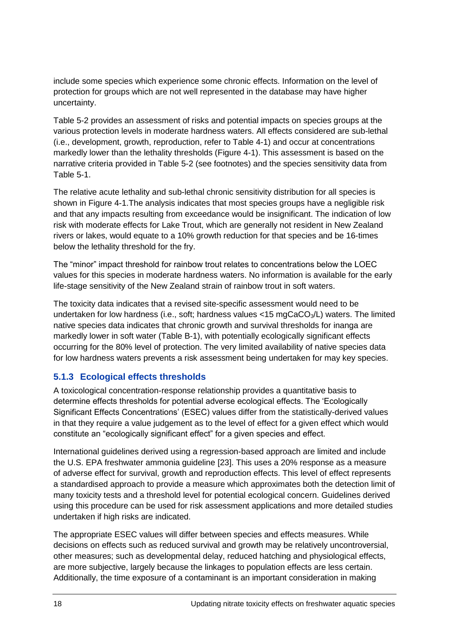include some species which experience some chronic effects. Information on the level of protection for groups which are not well represented in the database may have higher uncertainty.

Table 5-2 provides an assessment of risks and potential impacts on species groups at the various protection levels in moderate hardness waters. All effects considered are sub-lethal (i.e., development, growth, reproduction, refer to [Table 4-1\)](#page-12-0) and occur at concentrations markedly lower than the lethality thresholds [\(Figure 4-1\)](#page-11-0). This assessment is based on the narrative criteria provided in Table 5-2 (see footnotes) and the species sensitivity data from Table 5-1.

The relative acute lethality and sub-lethal chronic sensitivity distribution for all species is shown in [Figure 4-1.](#page-11-0)The analysis indicates that most species groups have a negligible risk and that any impacts resulting from exceedance would be insignificant. The indication of low risk with moderate effects for Lake Trout, which are generally not resident in New Zealand rivers or lakes, would equate to a 10% growth reduction for that species and be 16-times below the lethality threshold for the fry.

The "minor" impact threshold for rainbow trout relates to concentrations below the LOEC values for this species in moderate hardness waters. No information is available for the early life-stage sensitivity of the New Zealand strain of rainbow trout in soft waters.

The toxicity data indicates that a revised site-specific assessment would need to be undertaken for low hardness (i.e., soft; hardness values <15 mgCaCO3/L) waters. The limited native species data indicates that chronic growth and survival thresholds for inanga are markedly lower in soft water [\(Table B-1\)](#page-33-2), with potentially ecologically significant effects occurring for the 80% level of protection. The very limited availability of native species data for low hardness waters prevents a risk assessment being undertaken for may key species.

### **5.1.3 Ecological effects thresholds**

A toxicological concentration-response relationship provides a quantitative basis to determine effects thresholds for potential adverse ecological effects. The 'Ecologically Significant Effects Concentrations' (ESEC) values differ from the statistically-derived values in that they require a value judgement as to the level of effect for a given effect which would constitute an "ecologically significant effect" for a given species and effect.

International guidelines derived using a regression-based approach are limited and include the U.S. EPA freshwater ammonia guideline [\[23\]](#page-28-8). This uses a 20% response as a measure of adverse effect for survival, growth and reproduction effects. This level of effect represents a standardised approach to provide a measure which approximates both the detection limit of many toxicity tests and a threshold level for potential ecological concern. Guidelines derived using this procedure can be used for risk assessment applications and more detailed studies undertaken if high risks are indicated.

The appropriate ESEC values will differ between species and effects measures. While decisions on effects such as reduced survival and growth may be relatively uncontroversial, other measures; such as developmental delay, reduced hatching and physiological effects, are more subjective, largely because the linkages to population effects are less certain. Additionally, the time exposure of a contaminant is an important consideration in making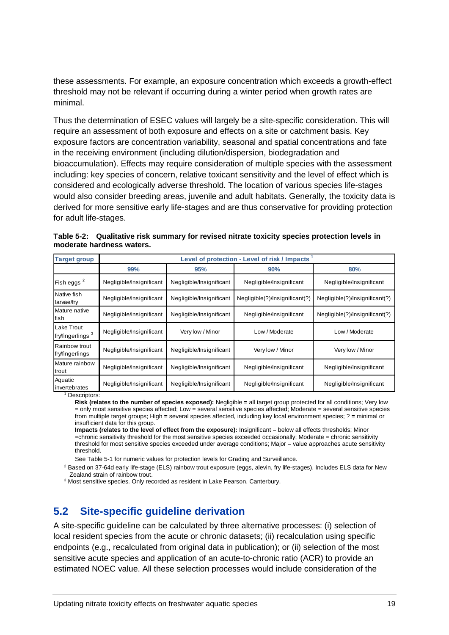these assessments. For example, an exposure concentration which exceeds a growth-effect threshold may not be relevant if occurring during a winter period when growth rates are minimal.

Thus the determination of ESEC values will largely be a site-specific consideration. This will require an assessment of both exposure and effects on a site or catchment basis. Key exposure factors are concentration variability, seasonal and spatial concentrations and fate in the receiving environment (including dilution/dispersion, biodegradation and bioaccumulation). Effects may require consideration of multiple species with the assessment including: key species of concern, relative toxicant sensitivity and the level of effect which is considered and ecologically adverse threshold. The location of various species life-stages would also consider breeding areas, juvenile and adult habitats. Generally, the toxicity data is derived for more sensitive early life-stages and are thus conservative for providing protection for adult life-stages.

**Table 5-2: Qualitative risk summary for revised nitrate toxicity species protection levels in moderate hardness waters.**

| <b>Target group</b>                        |                                                      |                          | Level of protection - Level of risk / Impacts |                                |  |
|--------------------------------------------|------------------------------------------------------|--------------------------|-----------------------------------------------|--------------------------------|--|
|                                            | 99%                                                  | 95%                      | 90%                                           | 80%                            |  |
| Fish eggs <sup>2</sup>                     | Negligible/Insignificant                             | Negligible/Insignificant | Negligible/Insignificant                      | Negligible/Insignificant       |  |
| Native fish<br>larvae/fry                  | Negligible/Insignificant<br>Negligible/Insignificant |                          | Negligible(?)/Insignificant(?)                | Negligible(?)/Insignificant(?) |  |
| Mature native<br>fish                      | Negligible/Insignificant                             | Negligible/Insignificant | Negligible/Insignificant                      | Negligible(?)/Insignificant(?) |  |
| Lake Trout<br>fry/fingerlings <sup>3</sup> | Negligible/Insignificant                             | Very low / Minor         | Low / Moderate                                | Low / Moderate                 |  |
| Rainbow trout<br>fry/fingerlings           | Negligible/Insignificant                             | Negligible/Insignificant | Very low / Minor                              | Very low / Minor               |  |
| Mature rainbow<br>trout                    | Negligible/Insignificant                             | Negligible/Insignificant | Negligible/Insignificant                      | Negligible/Insignificant       |  |
| Aquatic<br>invertebrates                   | Negligible/Insignificant                             | Negligible/Insignificant | Negligible/Insignificant                      | Negligible/Insignificant       |  |

<sup>1</sup> Descriptors:

**Risk (relates to the number of species exposed):** Negligible = all target group protected for all conditions; Very low = only most sensitive species affected; Low = several sensitive species affected; Moderate = several sensitive species from multiple target groups; High = several species affected, including key local environment species; ? = minimal or insufficient data for this group.

**Impacts (relates to the level of effect from the exposure):** Insignificant = below all effects thresholds; Minor =chronic sensitivity threshold for the most sensitive species exceeded occasionally; Moderate = chronic sensitivity threshold for most sensitive species exceeded under average conditions; Major = value approaches acute sensitivity threshold.

See Table 5-1 for numeric values for protection levels for Grading and Surveillance.

<sup>2</sup> Based on 37-64d early life-stage (ELS) rainbow trout exposure (eggs, alevin, fry life-stages). Includes ELS data for New Zealand strain of rainbow trout.

<sup>3</sup> Most sensitive species. Only recorded as resident in Lake Pearson, Canterbury.

### <span id="page-18-0"></span>**5.2 Site-specific guideline derivation**

A site-specific guideline can be calculated by three alternative processes: (i) selection of local resident species from the acute or chronic datasets; (ii) recalculation using specific endpoints (e.g., recalculated from original data in publication); or (ii) selection of the most sensitive acute species and application of an acute-to-chronic ratio (ACR) to provide an estimated NOEC value. All these selection processes would include consideration of the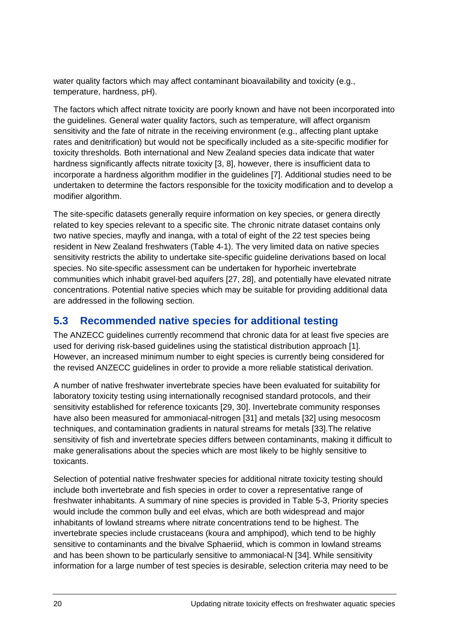water quality factors which may affect contaminant bioavailability and toxicity (e.g., temperature, hardness, pH).

The factors which affect nitrate toxicity are poorly known and have not been incorporated into the guidelines. General water quality factors, such as temperature, will affect organism sensitivity and the fate of nitrate in the receiving environment (e.g., affecting plant uptake rates and denitrification) but would not be specifically included as a site-specific modifier for toxicity thresholds. Both international and New Zealand species data indicate that water hardness significantly affects nitrate toxicity [\[3,](#page-27-3) [8\]](#page-27-8), however, there is insufficient data to incorporate a hardness algorithm modifier in the guidelines [\[7\]](#page-27-7). Additional studies need to be undertaken to determine the factors responsible for the toxicity modification and to develop a modifier algorithm.

The site-specific datasets generally require information on key species, or genera directly related to key species relevant to a specific site. The chronic nitrate dataset contains only two native species, mayfly and inanga, with a total of eight of the 22 test species being resident in New Zealand freshwaters [\(Table 4-1\)](#page-12-0). The very limited data on native species sensitivity restricts the ability to undertake site-specific guideline derivations based on local species. No site-specific assessment can be undertaken for hyporheic invertebrate communities which inhabit gravel-bed aquifers [\[27,](#page-28-12) [28\]](#page-28-13), and potentially have elevated nitrate concentrations. Potential native species which may be suitable for providing additional data are addressed in the following section.

### <span id="page-19-0"></span>**5.3 Recommended native species for additional testing**

The ANZECC guidelines currently recommend that chronic data for at least five species are used for deriving risk-based guidelines using the statistical distribution approach [\[1\]](#page-27-1). However, an increased minimum number to eight species is currently being considered for the revised ANZECC guidelines in order to provide a more reliable statistical derivation.

A number of native freshwater invertebrate species have been evaluated for suitability for laboratory toxicity testing using internationally recognised standard protocols, and their sensitivity established for reference toxicants [\[29,](#page-28-14) [30\]](#page-29-0). Invertebrate community responses have also been measured for ammoniacal-nitrogen [\[31\]](#page-29-1) and metals [\[32\]](#page-29-2) using mesocosm techniques, and contamination gradients in natural streams for metals [\[33\]](#page-29-3).The relative sensitivity of fish and invertebrate species differs between contaminants, making it difficult to make generalisations about the species which are most likely to be highly sensitive to toxicants.

Selection of potential native freshwater species for additional nitrate toxicity testing should include both invertebrate and fish species in order to cover a representative range of freshwater inhabitants. A summary of nine species is provided in Table 5-3, Priority species would include the common bully and eel elvas, which are both widespread and major inhabitants of lowland streams where nitrate concentrations tend to be highest. The invertebrate species include crustaceans (koura and amphipod), which tend to be highly sensitive to contaminants and the bivalve Sphaeriid, which is common in lowland streams and has been shown to be particularly sensitive to ammoniacal-N [\[34\]](#page-29-4). While sensitivity information for a large number of test species is desirable, selection criteria may need to be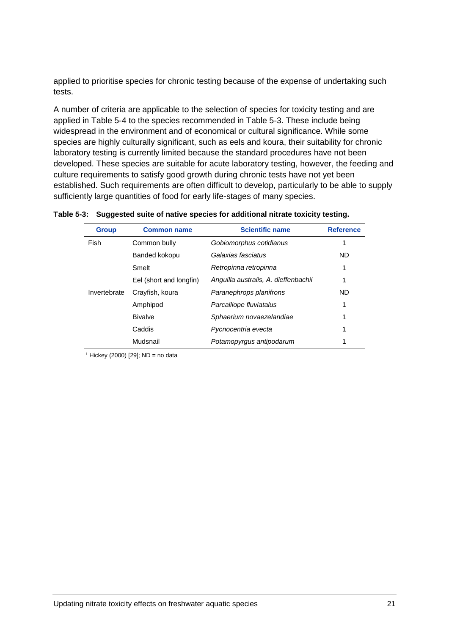applied to prioritise species for chronic testing because of the expense of undertaking such tests.

A number of criteria are applicable to the selection of species for toxicity testing and are applied in Table 5-4 to the species recommended in Table 5-3. These include being widespread in the environment and of economical or cultural significance. While some species are highly culturally significant, such as eels and koura, their suitability for chronic laboratory testing is currently limited because the standard procedures have not been developed. These species are suitable for acute laboratory testing, however, the feeding and culture requirements to satisfy good growth during chronic tests have not yet been established. Such requirements are often difficult to develop, particularly to be able to supply sufficiently large quantities of food for early life-stages of many species.

| <b>Group</b> | <b>Common name</b>      | <b>Scientific name</b>               | <b>Reference</b> |
|--------------|-------------------------|--------------------------------------|------------------|
| Fish         | Common bully            | Gobiomorphus cotidianus              | 1                |
|              | Banded kokopu           | Galaxias fasciatus                   | <b>ND</b>        |
|              | Smelt                   | Retropinna retropinna                | 1                |
|              | Eel (short and longfin) | Anguilla australis, A. dieffenbachii | 1                |
| Invertebrate | Crayfish, koura         | Paranephrops planifrons              | <b>ND</b>        |
|              | Amphipod                | Parcalliope fluviatalus              | 1                |
|              | <b>Bivalve</b>          | Sphaerium novaezelandiae             | 1                |
|              | Caddis                  | Pycnocentria evecta                  | 1                |
|              | Mudsnail                | Potamopyrgus antipodarum             | 1                |
|              |                         |                                      |                  |

|  |  |  | Table 5-3: Suggested suite of native species for additional nitrate toxicity testing. |  |
|--|--|--|---------------------------------------------------------------------------------------|--|
|--|--|--|---------------------------------------------------------------------------------------|--|

 $1$  Hickey (2000) [\[29\]](#page-28-14); ND = no data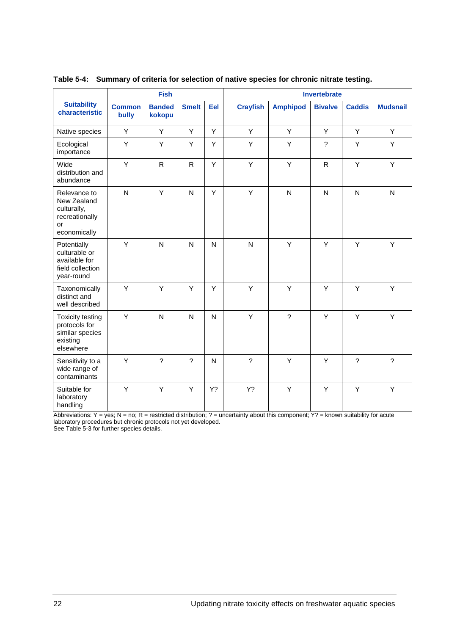|                                                                                      |                        | <b>Fish</b>             |                          |     | Invertebrate    |                 |                |                |                 |  |
|--------------------------------------------------------------------------------------|------------------------|-------------------------|--------------------------|-----|-----------------|-----------------|----------------|----------------|-----------------|--|
| <b>Suitability</b><br>characteristic                                                 | <b>Common</b><br>bully | <b>Banded</b><br>kokopu | <b>Smelt</b>             | Eel | <b>Crayfish</b> | <b>Amphipod</b> | <b>Bivalve</b> | <b>Caddis</b>  | <b>Mudsnail</b> |  |
| Native species                                                                       | Y                      | Y                       | Y                        | Y   | Y               | Y               | Y              | Y              | Y               |  |
| Ecological<br>importance                                                             | Y                      | Y                       | Y                        | Y   | Y               | Y               | $\overline{?}$ | Y              | Y               |  |
| Wide<br>distribution and<br>abundance                                                | Y                      | $\mathsf{R}$            | $\mathsf{R}$             | Y   | Y               | Y               | R              | Y              | Y               |  |
| Relevance to<br>New Zealand<br>culturally,<br>recreationally<br>or<br>economically   | $\mathsf{N}$           | Y                       | N                        | Y   | Υ               | $\mathsf{N}$    | ${\sf N}$      | $\mathsf{N}$   | $\mathsf{N}$    |  |
| Potentially<br>culturable or<br>available for<br>field collection<br>year-round      | Υ                      | $\mathsf{N}$            | N                        | N   | N               | Y               | Y              | Υ              | Υ               |  |
| Taxonomically<br>distinct and<br>well described                                      | Y                      | Y                       | Y                        | Y   | Y               | Y               | Y              | Y              | Y               |  |
| <b>Toxicity testing</b><br>protocols for<br>similar species<br>existing<br>elsewhere | Y                      | $\overline{N}$          | N                        | N   | Y               | $\overline{?}$  | Y              | Y              | Y               |  |
| Sensitivity to a<br>wide range of<br>contaminants                                    | Y                      | $\overline{?}$          | $\overline{\phantom{a}}$ | N   | $\overline{?}$  | Y               | Y              | $\overline{?}$ | $\overline{?}$  |  |
| Suitable for<br>laboratory<br>handling                                               | Y                      | Y                       | Y                        | Y?  | Y?              | Y               | Y              | Y              | Y               |  |

### **Table 5-4: Summary of criteria for selection of native species for chronic nitrate testing.**

Abbreviations: Y = yes; N = no; R = restricted distribution; ? = uncertainty about this component; Y? = known suitability for acute laboratory procedures but chronic protocols not yet developed.

See Table 5-3 for further species details.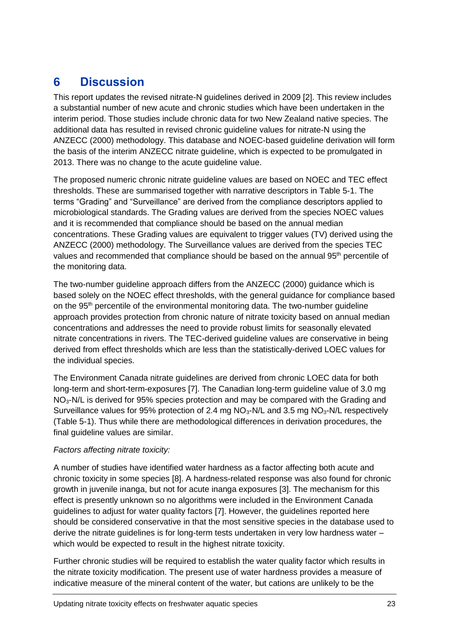# <span id="page-22-0"></span>**6 Discussion**

This report updates the revised nitrate-N guidelines derived in 2009 [\[2\]](#page-27-2). This review includes a substantial number of new acute and chronic studies which have been undertaken in the interim period. Those studies include chronic data for two New Zealand native species. The additional data has resulted in revised chronic guideline values for nitrate-N using the ANZECC (2000) methodology. This database and NOEC-based guideline derivation will form the basis of the interim ANZECC nitrate guideline, which is expected to be promulgated in 2013. There was no change to the acute guideline value.

The proposed numeric chronic nitrate guideline values are based on NOEC and TEC effect thresholds. These are summarised together with narrative descriptors in Table 5-1. The terms "Grading" and "Surveillance" are derived from the compliance descriptors applied to microbiological standards. The Grading values are derived from the species NOEC values and it is recommended that compliance should be based on the annual median concentrations. These Grading values are equivalent to trigger values (TV) derived using the ANZECC (2000) methodology. The Surveillance values are derived from the species TEC values and recommended that compliance should be based on the annual 95<sup>th</sup> percentile of the monitoring data.

The two-number guideline approach differs from the ANZECC (2000) guidance which is based solely on the NOEC effect thresholds, with the general guidance for compliance based on the  $95<sup>th</sup>$  percentile of the environmental monitoring data. The two-number guideline approach provides protection from chronic nature of nitrate toxicity based on annual median concentrations and addresses the need to provide robust limits for seasonally elevated nitrate concentrations in rivers. The TEC-derived guideline values are conservative in being derived from effect thresholds which are less than the statistically-derived LOEC values for the individual species.

The Environment Canada nitrate guidelines are derived from chronic LOEC data for both long-term and short-term-exposures [\[7\]](#page-27-7). The Canadian long-term guideline value of 3.0 mg  $NO<sub>3</sub>-N/L$  is derived for 95% species protection and may be compared with the Grading and Surveillance values for 95% protection of 2.4 mg  $NO<sub>3</sub>-N/L$  and 3.5 mg  $NO<sub>3</sub>-N/L$  respectively (Table 5-1). Thus while there are methodological differences in derivation procedures, the final guideline values are similar.

### *Factors affecting nitrate toxicity:*

A number of studies have identified water hardness as a factor affecting both acute and chronic toxicity in some species [\[8\]](#page-27-8). A hardness-related response was also found for chronic growth in juvenile inanga, but not for acute inanga exposures [\[3\]](#page-27-3). The mechanism for this effect is presently unknown so no algorithms were included in the Environment Canada guidelines to adjust for water quality factors [\[7\]](#page-27-7). However, the guidelines reported here should be considered conservative in that the most sensitive species in the database used to derive the nitrate guidelines is for long-term tests undertaken in very low hardness water – which would be expected to result in the highest nitrate toxicity.

Further chronic studies will be required to establish the water quality factor which results in the nitrate toxicity modification. The present use of water hardness provides a measure of indicative measure of the mineral content of the water, but cations are unlikely to be the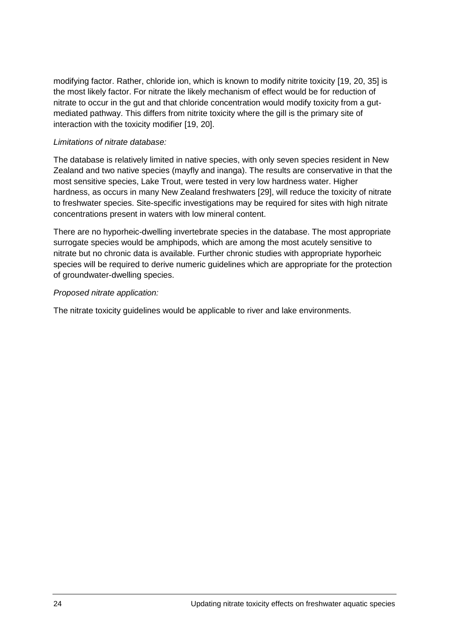modifying factor. Rather, chloride ion, which is known to modify nitrite toxicity [\[19,](#page-28-4) [20,](#page-28-5) [35\]](#page-29-5) is the most likely factor. For nitrate the likely mechanism of effect would be for reduction of nitrate to occur in the gut and that chloride concentration would modify toxicity from a gutmediated pathway. This differs from nitrite toxicity where the gill is the primary site of interaction with the toxicity modifier [\[19,](#page-28-4) [20\]](#page-28-5).

### *Limitations of nitrate database:*

The database is relatively limited in native species, with only seven species resident in New Zealand and two native species (mayfly and inanga). The results are conservative in that the most sensitive species, Lake Trout, were tested in very low hardness water. Higher hardness, as occurs in many New Zealand freshwaters [\[29\]](#page-28-14), will reduce the toxicity of nitrate to freshwater species. Site-specific investigations may be required for sites with high nitrate concentrations present in waters with low mineral content.

There are no hyporheic-dwelling invertebrate species in the database. The most appropriate surrogate species would be amphipods, which are among the most acutely sensitive to nitrate but no chronic data is available. Further chronic studies with appropriate hyporheic species will be required to derive numeric guidelines which are appropriate for the protection of groundwater-dwelling species.

### *Proposed nitrate application:*

The nitrate toxicity guidelines would be applicable to river and lake environments.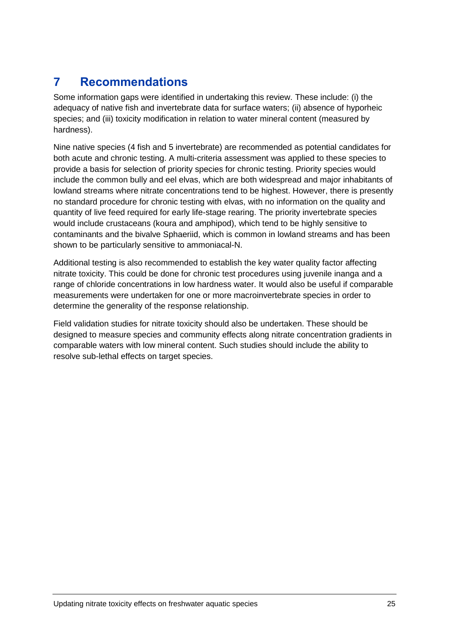# <span id="page-24-0"></span>**7 Recommendations**

Some information gaps were identified in undertaking this review. These include: (i) the adequacy of native fish and invertebrate data for surface waters; (ii) absence of hyporheic species; and (iii) toxicity modification in relation to water mineral content (measured by hardness).

Nine native species (4 fish and 5 invertebrate) are recommended as potential candidates for both acute and chronic testing. A multi-criteria assessment was applied to these species to provide a basis for selection of priority species for chronic testing. Priority species would include the common bully and eel elvas, which are both widespread and major inhabitants of lowland streams where nitrate concentrations tend to be highest. However, there is presently no standard procedure for chronic testing with elvas, with no information on the quality and quantity of live feed required for early life-stage rearing. The priority invertebrate species would include crustaceans (koura and amphipod), which tend to be highly sensitive to contaminants and the bivalve Sphaeriid, which is common in lowland streams and has been shown to be particularly sensitive to ammoniacal-N.

Additional testing is also recommended to establish the key water quality factor affecting nitrate toxicity. This could be done for chronic test procedures using juvenile inanga and a range of chloride concentrations in low hardness water. It would also be useful if comparable measurements were undertaken for one or more macroinvertebrate species in order to determine the generality of the response relationship.

Field validation studies for nitrate toxicity should also be undertaken. These should be designed to measure species and community effects along nitrate concentration gradients in comparable waters with low mineral content. Such studies should include the ability to resolve sub-lethal effects on target species.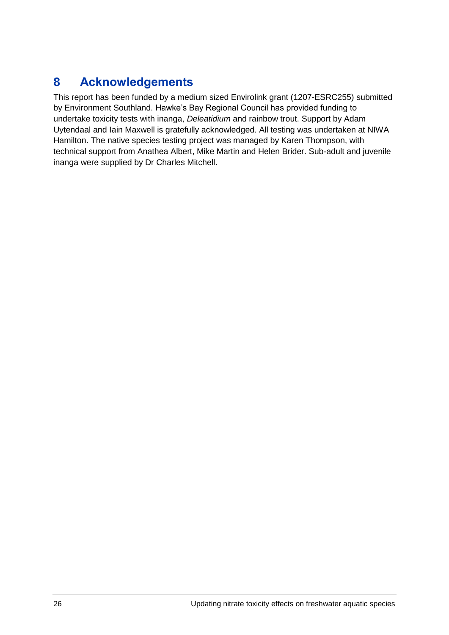# <span id="page-25-0"></span>**8 Acknowledgements**

This report has been funded by a medium sized Envirolink grant (1207-ESRC255) submitted by Environment Southland. Hawke's Bay Regional Council has provided funding to undertake toxicity tests with inanga, *Deleatidium* and rainbow trout. Support by Adam Uytendaal and Iain Maxwell is gratefully acknowledged. All testing was undertaken at NIWA Hamilton. The native species testing project was managed by Karen Thompson, with technical support from Anathea Albert, Mike Martin and Helen Brider. Sub-adult and juvenile inanga were supplied by Dr Charles Mitchell.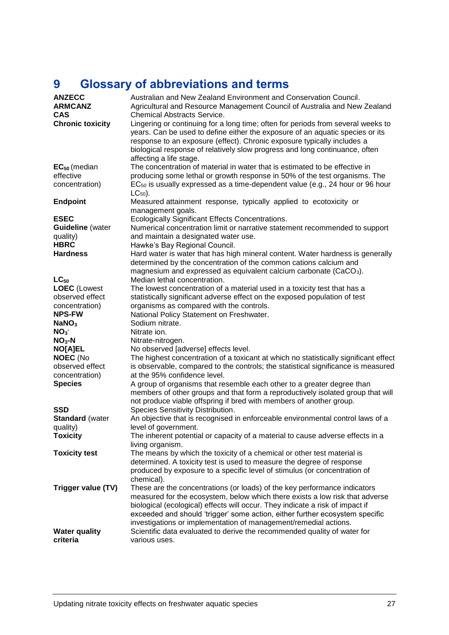# <span id="page-26-0"></span>**9 Glossary of abbreviations and terms**

| <b>ANZECC</b><br><b>ARMCANZ</b><br><b>CAS</b>                          | Australian and New Zealand Environment and Conservation Council.<br>Agricultural and Resource Management Council of Australia and New Zealand<br><b>Chemical Abstracts Service.</b>                                                                                                                                                                    |
|------------------------------------------------------------------------|--------------------------------------------------------------------------------------------------------------------------------------------------------------------------------------------------------------------------------------------------------------------------------------------------------------------------------------------------------|
| <b>Chronic toxicity</b>                                                | Lingering or continuing for a long time; often for periods from several weeks to<br>years. Can be used to define either the exposure of an aquatic species or its<br>response to an exposure (effect). Chronic exposure typically includes a<br>biological response of relatively slow progress and long continuance, often<br>affecting a life stage. |
| $EC_{50}$ (median<br>effective<br>concentration)                       | The concentration of material in water that is estimated to be effective in<br>producing some lethal or growth response in 50% of the test organisms. The<br>$EC_{50}$ is usually expressed as a time-dependent value (e.g., 24 hour or 96 hour<br>$LC_{50}$ ).                                                                                        |
| <b>Endpoint</b>                                                        | Measured attainment response, typically applied to ecotoxicity or<br>management goals.                                                                                                                                                                                                                                                                 |
| <b>ESEC</b><br><b>Guideline</b> (water<br>quality)<br><b>HBRC</b>      | Ecologically Significant Effects Concentrations.<br>Numerical concentration limit or narrative statement recommended to support<br>and maintain a designated water use.<br>Hawke's Bay Regional Council.                                                                                                                                               |
| <b>Hardness</b>                                                        | Hard water is water that has high mineral content. Water hardness is generally<br>determined by the concentration of the common cations calcium and<br>magnesium and expressed as equivalent calcium carbonate (CaCO <sub>3</sub> ).                                                                                                                   |
| $LC_{50}$<br><b>LOEC</b> (Lowest<br>observed effect<br>concentration)  | Median lethal concentration.<br>The lowest concentration of a material used in a toxicity test that has a<br>statistically significant adverse effect on the exposed population of test<br>organisms as compared with the controls.                                                                                                                    |
| <b>NPS-FW</b><br>NaNO <sub>3</sub>                                     | National Policy Statement on Freshwater.<br>Sodium nitrate.                                                                                                                                                                                                                                                                                            |
| NO <sub>3</sub><br>$NO3-N$                                             | Nitrate ion.<br>Nitrate-nitrogen.                                                                                                                                                                                                                                                                                                                      |
| <b>NO[A]EL</b><br><b>NOEC (No</b><br>observed effect<br>concentration) | No observed [adverse] effects level.<br>The highest concentration of a toxicant at which no statistically significant effect<br>is observable, compared to the controls; the statistical significance is measured<br>at the 95% confidence level.                                                                                                      |
| <b>Species</b>                                                         | A group of organisms that resemble each other to a greater degree than<br>members of other groups and that form a reproductively isolated group that will<br>not produce viable offspring if bred with members of another group.                                                                                                                       |
| <b>SSD</b><br><b>Standard (water</b><br>quality)<br><b>Toxicity</b>    | Species Sensitivity Distribution.<br>An objective that is recognised in enforceable environmental control laws of a<br>level of government.<br>The inherent potential or capacity of a material to cause adverse effects in a                                                                                                                          |
| <b>Toxicity test</b>                                                   | living organism.<br>The means by which the toxicity of a chemical or other test material is<br>determined. A toxicity test is used to measure the degree of response<br>produced by exposure to a specific level of stimulus (or concentration of                                                                                                      |
| Trigger value (TV)                                                     | chemical).<br>These are the concentrations (or loads) of the key performance indicators<br>measured for the ecosystem, below which there exists a low risk that adverse<br>biological (ecological) effects will occur. They indicate a risk of impact if<br>exceeded and should 'trigger' some action, either further ecosystem specific               |
| <b>Water quality</b><br>criteria                                       | investigations or implementation of management/remedial actions.<br>Scientific data evaluated to derive the recommended quality of water for<br>various uses.                                                                                                                                                                                          |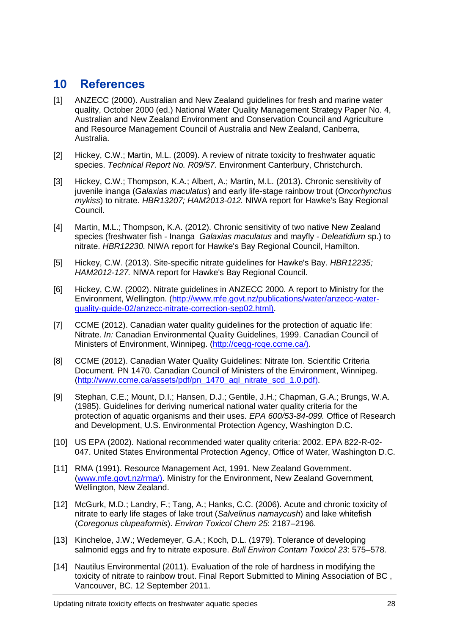### <span id="page-27-20"></span><span id="page-27-19"></span><span id="page-27-18"></span><span id="page-27-15"></span><span id="page-27-0"></span>**10 References**

- <span id="page-27-1"></span>[1] ANZECC (2000). Australian and New Zealand guidelines for fresh and marine water quality, October 2000 (ed.) National Water Quality Management Strategy Paper No. 4, Australian and New Zealand Environment and Conservation Council and Agriculture and Resource Management Council of Australia and New Zealand, Canberra, Australia.
- <span id="page-27-2"></span>[2] Hickey, C.W.; Martin, M.L. (2009). A review of nitrate toxicity to freshwater aquatic species. *Technical Report No. R09/57.* Environment Canterbury, Christchurch.
- <span id="page-27-3"></span>[3] Hickey, C.W.; Thompson, K.A.; Albert, A.; Martin, M.L. (2013). Chronic sensitivity of juvenile inanga (*Galaxias maculatus*) and early life-stage rainbow trout (*Oncorhynchus mykiss*) to nitrate. *HBR13207; HAM2013-012.* NIWA report for Hawke's Bay Regional Council.
- <span id="page-27-4"></span>[4] Martin, M.L.; Thompson, K.A. (2012). Chronic sensitivity of two native New Zealand species (freshwater fish - Inanga *Galaxias maculatus* and mayfly - *Deleatidium* sp.) to nitrate. *HBR12230.* NIWA report for Hawke's Bay Regional Council, Hamilton.
- <span id="page-27-5"></span>[5] Hickey, C.W. (2013). Site-specific nitrate guidelines for Hawke's Bay. *HBR12235; HAM2012-127.* NIWA report for Hawke's Bay Regional Council.
- <span id="page-27-6"></span>[6] Hickey, C.W. (2002). Nitrate guidelines in ANZECC 2000. A report to Ministry for the Environment, Wellington. [\(http://www.mfe.govt.nz/publications/water/anzecc-water](http://www.mfe.govt.nz/publications/water/anzecc-water-quality-guide-02/anzecc-nitrate-correction-sep02.html))[quality-guide-02/anzecc-nitrate-correction-sep02.html\).](http://www.mfe.govt.nz/publications/water/anzecc-water-quality-guide-02/anzecc-nitrate-correction-sep02.html))
- <span id="page-27-7"></span>[7] CCME (2012). Canadian water quality guidelines for the protection of aquatic life: Nitrate. *In:* Canadian Environmental Quality Guidelines, 1999. Canadian Council of Ministers of Environment, Winnipeg. (http://ceqq-rcqe.ccme.ca/).
- <span id="page-27-16"></span><span id="page-27-8"></span>[8] CCME (2012). Canadian Water Quality Guidelines: Nitrate Ion. Scientific Criteria Document. PN 1470. Canadian Council of Ministers of the Environment, Winnipeg. [\(http://www.ccme.ca/assets/pdf/pn\\_1470\\_aql\\_nitrate\\_scd\\_1.0.pdf\).](http://www.ccme.ca/assets/pdf/pn_1470_aql_nitrate_scd_1.0.pdf))
- <span id="page-27-17"></span><span id="page-27-9"></span>[9] Stephan, C.E.; Mount, D.I.; Hansen, D.J.; Gentile, J.H.; Chapman, G.A.; Brungs, W.A. (1985). Guidelines for deriving numerical national water quality criteria for the protection of aquatic organisms and their uses. *EPA 600/53-84-099.* Office of Research and Development, U.S. Environmental Protection Agency, Washington D.C.
- <span id="page-27-10"></span>[10] US EPA (2002). National recommended water quality criteria: 2002. EPA 822-R-02- 047. United States Environmental Protection Agency, Office of Water, Washington D.C.
- <span id="page-27-11"></span>[11] RMA (1991). Resource Management Act, 1991. New Zealand Government. [\(www.mfe.govt.nz/rma/\).](http://www.mfe.govt.nz/rma/)) Ministry for the Environment, New Zealand Government, Wellington, New Zealand.
- <span id="page-27-12"></span>[12] McGurk, M.D.; Landry, F.; Tang, A.; Hanks, C.C. (2006). Acute and chronic toxicity of nitrate to early life stages of lake trout (*Salvelinus namaycush*) and lake whitefish (*Coregonus clupeaformis*). *Environ Toxicol Chem 25*: 2187–2196.
- <span id="page-27-13"></span>[13] Kincheloe, J.W.; Wedemeyer, G.A.; Koch, D.L. (1979). Tolerance of developing salmonid eggs and fry to nitrate exposure. *Bull Environ Contam Toxicol 23*: 575–578.
- <span id="page-27-14"></span>[14] Nautilus Environmental (2011). Evaluation of the role of hardness in modifying the toxicity of nitrate to rainbow trout. Final Report Submitted to Mining Association of BC , Vancouver, BC. 12 September 2011.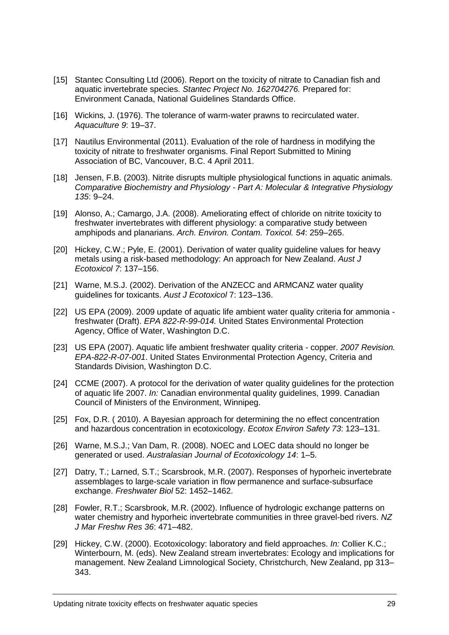- <span id="page-28-18"></span><span id="page-28-17"></span><span id="page-28-16"></span><span id="page-28-15"></span><span id="page-28-0"></span>[15] Stantec Consulting Ltd (2006). Report on the toxicity of nitrate to Canadian fish and aquatic invertebrate species. *Stantec Project No. 162704276.* Prepared for: Environment Canada, National Guidelines Standards Office.
- <span id="page-28-1"></span>[16] Wickins, J. (1976). The tolerance of warm-water prawns to recirculated water. *Aquaculture 9*: 19–37.
- <span id="page-28-2"></span>[17] Nautilus Environmental (2011). Evaluation of the role of hardness in modifying the toxicity of nitrate to freshwater organisms. Final Report Submitted to Mining Association of BC, Vancouver, B.C. 4 April 2011.
- <span id="page-28-3"></span>[18] Jensen, F.B. (2003). Nitrite disrupts multiple physiological functions in aquatic animals. *Comparative Biochemistry and Physiology - Part A: Molecular & Integrative Physiology 135*: 9–24.
- <span id="page-28-4"></span>[19] Alonso, A.; Camargo, J.A. (2008). Ameliorating effect of chloride on nitrite toxicity to freshwater invertebrates with different physiology: a comparative study between amphipods and planarians. *Arch. Environ. Contam. Toxicol. 54*: 259–265.
- <span id="page-28-5"></span>[20] Hickey, C.W.; Pyle, E. (2001). Derivation of water quality guideline values for heavy metals using a risk-based methodology: An approach for New Zealand. *Aust J Ecotoxicol 7*: 137–156.
- <span id="page-28-6"></span>[21] Warne, M.S.J. (2002). Derivation of the ANZECC and ARMCANZ water quality guidelines for toxicants. *Aust J Ecotoxicol* 7: 123–136.
- <span id="page-28-7"></span>[22] US EPA (2009). 2009 update of aquatic life ambient water quality criteria for ammonia freshwater (Draft). *EPA 822-R-99-014.* United States Environmental Protection Agency, Office of Water, Washington D.C.
- <span id="page-28-8"></span>[23] US EPA (2007). Aquatic life ambient freshwater quality criteria - copper. *2007 Revision. EPA-822-R-07-001*. United States Environmental Protection Agency, Criteria and Standards Division, Washington D.C.
- <span id="page-28-9"></span>[24] CCME (2007). A protocol for the derivation of water quality guidelines for the protection of aquatic life 2007. *In:* Canadian environmental quality guidelines, 1999. Canadian Council of Ministers of the Environment, Winnipeg.
- <span id="page-28-10"></span>[25] Fox, D.R. ( 2010). A Bayesian approach for determining the no effect concentration and hazardous concentration in ecotoxicology. *Ecotox Environ Safety 73*: 123–131.
- <span id="page-28-11"></span>[26] Warne, M.S.J.; Van Dam, R. (2008). NOEC and LOEC data should no longer be generated or used. *Australasian Journal of Ecotoxicology 14*: 1–5.
- <span id="page-28-12"></span>[27] Datry, T.; Larned, S.T.; Scarsbrook, M.R. (2007). Responses of hyporheic invertebrate assemblages to large-scale variation in flow permanence and surface-subsurface exchange. *Freshwater Biol* 52: 1452–1462.
- <span id="page-28-13"></span>[28] Fowler, R.T.; Scarsbrook, M.R. (2002). Influence of hydrologic exchange patterns on water chemistry and hyporheic invertebrate communities in three gravel-bed rivers. *NZ J Mar Freshw Res 36*: 471–482.
- <span id="page-28-14"></span>[29] Hickey, C.W. (2000). Ecotoxicology: laboratory and field approaches. *In:* Collier K.C.; Winterbourn, M. (eds). New Zealand stream invertebrates: Ecology and implications for management. New Zealand Limnological Society, Christchurch, New Zealand, pp 313– 343.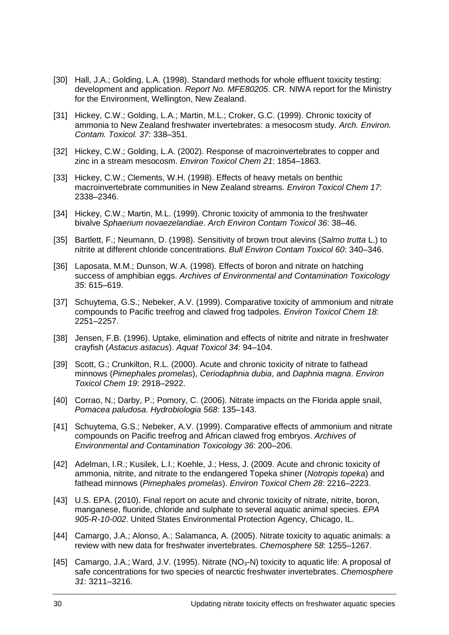- <span id="page-29-6"></span><span id="page-29-0"></span>[30] Hall, J.A.; Golding, L.A. (1998). Standard methods for whole effluent toxicity testing: development and application. *Report No. MFE80205*. CR. NIWA report for the Ministry for the Environment, Wellington, New Zealand.
- <span id="page-29-7"></span><span id="page-29-1"></span>[31] Hickey, C.W.; Golding, L.A.; Martin, M.L.; Croker, G.C. (1999). Chronic toxicity of ammonia to New Zealand freshwater invertebrates: a mesocosm study. *Arch. Environ. Contam. Toxicol. 37*: 338–351.
- <span id="page-29-8"></span><span id="page-29-2"></span>[32] Hickey, C.W.; Golding, L.A. (2002). Response of macroinvertebrates to copper and zinc in a stream mesocosm. *Environ Toxicol Chem 21*: 1854–1863.
- <span id="page-29-9"></span><span id="page-29-3"></span>[33] Hickey, C.W.; Clements, W.H. (1998). Effects of heavy metals on benthic macroinvertebrate communities in New Zealand streams. *Environ Toxicol Chem 17*: 2338–2346.
- <span id="page-29-10"></span><span id="page-29-4"></span>[34] Hickey, C.W.; Martin, M.L. (1999). Chronic toxicity of ammonia to the freshwater bivalve *Sphaerium novaezelandiae*. *Arch Environ Contam Toxicol 36*: 38–46.
- <span id="page-29-11"></span><span id="page-29-5"></span>[35] Bartlett, F.; Neumann, D. (1998). Sensitivity of brown trout alevins (*Salmo trutta* L.) to nitrite at different chloride concentrations. *Bull Environ Contam Toxicol 60*: 340–346.
- <span id="page-29-12"></span>[36] Laposata, M.M.; Dunson, W.A. (1998). Effects of boron and nitrate on hatching success of amphibian eggs. *Archives of Environmental and Contamination Toxicology 35*: 615–619.
- <span id="page-29-13"></span>[37] Schuytema, G.S.; Nebeker, A.V. (1999). Comparative toxicity of ammonium and nitrate compounds to Pacific treefrog and clawed frog tadpoles. *Environ Toxicol Chem 18*: 2251–2257.
- <span id="page-29-14"></span>[38] Jensen, F.B. (1996). Uptake, elimination and effects of nitrite and nitrate in freshwater crayfish (*Astacus astacus*). *Aquat Toxicol 34*: 94–104.
- <span id="page-29-15"></span>[39] Scott, G.; Crunkilton, R.L. (2000). Acute and chronic toxicity of nitrate to fathead minnows (*Pimephales promelas*), *Ceriodaphnia dubia*, and *Daphnia magna*. *Environ Toxicol Chem 19*: 2918–2922.
- [40] Corrao, N.; Darby, P.; Pomory, C. (2006). Nitrate impacts on the Florida apple snail, *Pomacea paludosa*. *Hydrobiologia 568*: 135–143.
- [41] Schuytema, G.S.; Nebeker, A.V. (1999). Comparative effects of ammonium and nitrate compounds on Pacific treefrog and African clawed frog embryos. *Archives of Environmental and Contamination Toxicology 36*: 200–206.
- [42] Adelman, I.R.; Kusilek, L.I.; Koehle, J.; Hess, J. (2009. Acute and chronic toxicity of ammonia, nitrite, and nitrate to the endangered Topeka shiner (*Notropis topeka*) and fathead minnows (*Pimephales promelas*). *Environ Toxicol Chem 28*: 2216–2223.
- [43] U.S. EPA. (2010). Final report on acute and chronic toxicity of nitrate, nitrite, boron, manganese, fluoride, chloride and sulphate to several aquatic animal species. *EPA 905-R-10-002*. United States Environmental Protection Agency, Chicago, IL.
- [44] Camargo, J.A.; Alonso, A.; Salamanca, A. (2005). Nitrate toxicity to aquatic animals: a review with new data for freshwater invertebrates. *Chemosphere 58*: 1255–1267.
- [45] Camargo, J.A.; Ward, J.V. (1995). Nitrate ( $NO<sub>3</sub>-N$ ) toxicity to aquatic life: A proposal of safe concentrations for two species of nearctic freshwater invertebrates. *Chemosphere 31*: 3211–3216.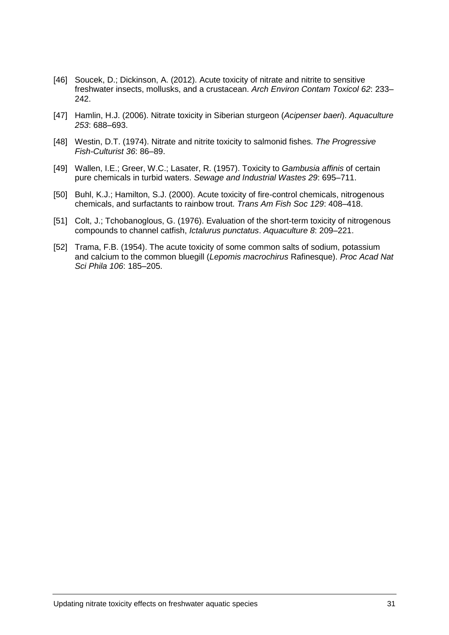- <span id="page-30-6"></span><span id="page-30-5"></span><span id="page-30-4"></span><span id="page-30-3"></span><span id="page-30-2"></span><span id="page-30-1"></span><span id="page-30-0"></span>[46] Soucek, D.; Dickinson, A. (2012). Acute toxicity of nitrate and nitrite to sensitive freshwater insects, mollusks, and a crustacean. *Arch Environ Contam Toxicol 62*: 233– 242.
- [47] Hamlin, H.J. (2006). Nitrate toxicity in Siberian sturgeon (*Acipenser baeri*). *Aquaculture 253*: 688–693.
- [48] Westin, D.T. (1974). Nitrate and nitrite toxicity to salmonid fishes. *The Progressive Fish-Culturist 36*: 86–89.
- [49] Wallen, I.E.; Greer, W.C.; Lasater, R. (1957). Toxicity to *Gambusia affinis* of certain pure chemicals in turbid waters. *Sewage and Industrial Wastes 29*: 695–711.
- [50] Buhl, K.J.; Hamilton, S.J. (2000). Acute toxicity of fire-control chemicals, nitrogenous chemicals, and surfactants to rainbow trout. *Trans Am Fish Soc 129*: 408–418.
- [51] Colt, J.; Tchobanoglous, G. (1976). Evaluation of the short-term toxicity of nitrogenous compounds to channel catfish, *Ictalurus punctatus*. *Aquaculture 8*: 209–221.
- [52] Trama, F.B. (1954). The acute toxicity of some common salts of sodium, potassium and calcium to the common bluegill (*Lepomis macrochirus* Rafinesque). *Proc Acad Nat Sci Phila 106*: 185–205.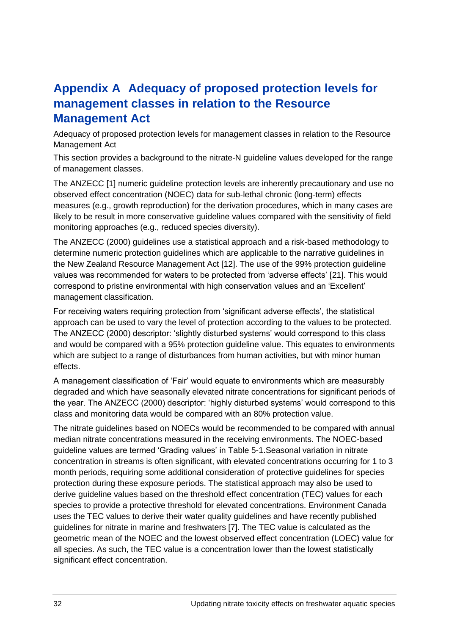# <span id="page-31-0"></span>**Appendix A Adequacy of proposed protection levels for management classes in relation to the Resource Management Act**

<span id="page-31-1"></span>Adequacy of proposed protection levels for management classes in relation to the Resource Management Act

This section provides a background to the nitrate-N guideline values developed for the range of management classes.

The ANZECC [\[1\]](#page-27-1) numeric guideline protection levels are inherently precautionary and use no observed effect concentration (NOEC) data for sub-lethal chronic (long-term) effects measures (e.g., growth reproduction) for the derivation procedures, which in many cases are likely to be result in more conservative guideline values compared with the sensitivity of field monitoring approaches (e.g., reduced species diversity).

The ANZECC (2000) guidelines use a statistical approach and a risk-based methodology to determine numeric protection guidelines which are applicable to the narrative guidelines in the New Zealand Resource Management Act [\[12\]](#page-27-12). The use of the 99% protection guideline values was recommended for waters to be protected from 'adverse effects' [\[21\]](#page-28-6). This would correspond to pristine environmental with high conservation values and an 'Excellent' management classification.

For receiving waters requiring protection from 'significant adverse effects', the statistical approach can be used to vary the level of protection according to the values to be protected. The ANZECC (2000) descriptor: 'slightly disturbed systems' would correspond to this class and would be compared with a 95% protection guideline value. This equates to environments which are subject to a range of disturbances from human activities, but with minor human effects.

A management classification of 'Fair' would equate to environments which are measurably degraded and which have seasonally elevated nitrate concentrations for significant periods of the year. The ANZECC (2000) descriptor: 'highly disturbed systems' would correspond to this class and monitoring data would be compared with an 80% protection value.

The nitrate guidelines based on NOECs would be recommended to be compared with annual median nitrate concentrations measured in the receiving environments. The NOEC-based guideline values are termed 'Grading values' in Table 5-1.Seasonal variation in nitrate concentration in streams is often significant, with elevated concentrations occurring for 1 to 3 month periods, requiring some additional consideration of protective guidelines for species protection during these exposure periods. The statistical approach may also be used to derive guideline values based on the threshold effect concentration (TEC) values for each species to provide a protective threshold for elevated concentrations. Environment Canada uses the TEC values to derive their water quality guidelines and have recently published guidelines for nitrate in marine and freshwaters [\[7\]](#page-27-7). The TEC value is calculated as the geometric mean of the NOEC and the lowest observed effect concentration (LOEC) value for all species. As such, the TEC value is a concentration lower than the lowest statistically significant effect concentration.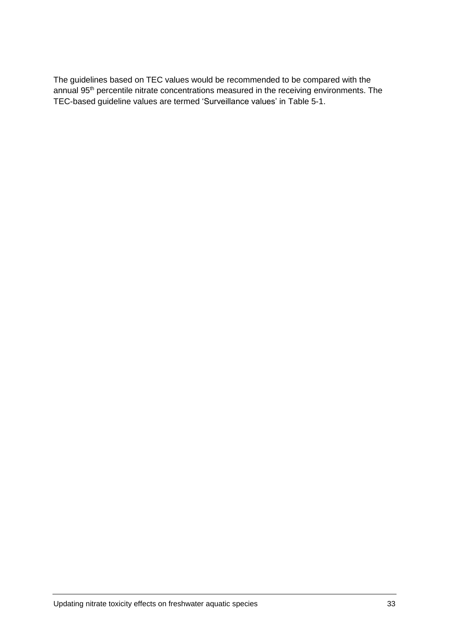The guidelines based on TEC values would be recommended to be compared with the annual 95th percentile nitrate concentrations measured in the receiving environments. The TEC-based guideline values are termed 'Surveillance values' in Table 5-1.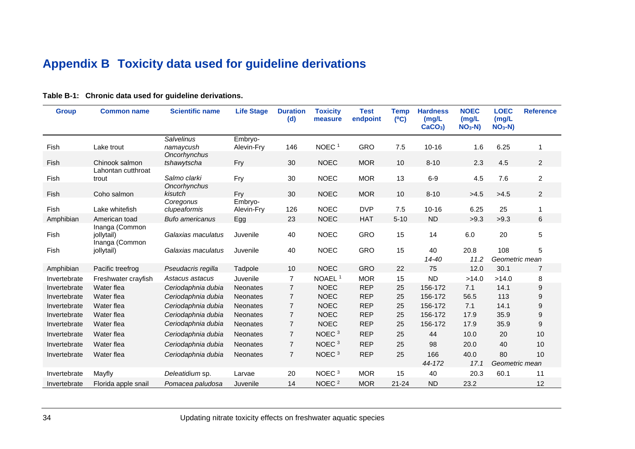# <span id="page-33-1"></span>**Appendix B Toxicity data used for guideline derivations**

<span id="page-33-2"></span><span id="page-33-0"></span>

| <b>Group</b> | <b>Common name</b>                             | <b>Scientific name</b>                         | <b>Life Stage</b>     | <b>Duration</b><br>(d) | <b>Toxicity</b><br>measure | <b>Test</b><br>endpoint | <b>Temp</b><br>(C) | <b>Hardness</b><br>(mg/L)<br>$CaCO3$ ) | <b>NOEC</b><br>(mg/L)<br>$NO3-N)$ | <b>LOEC</b><br>(mg/L)<br>$NO3-N)$ | <b>Reference</b> |
|--------------|------------------------------------------------|------------------------------------------------|-----------------------|------------------------|----------------------------|-------------------------|--------------------|----------------------------------------|-----------------------------------|-----------------------------------|------------------|
| Fish         | Lake trout                                     | <b>Salvelinus</b><br>namaycush<br>Oncorhynchus | Embryo-<br>Alevin-Fry | 146                    | NOEC <sup>1</sup>          | <b>GRO</b>              | 7.5                | $10 - 16$                              | 1.6                               | 6.25                              | 1                |
| Fish         | Chinook salmon                                 | tshawytscha                                    | Fry                   | 30                     | <b>NOEC</b>                | <b>MOR</b>              | 10                 | $8 - 10$                               | 2.3                               | 4.5                               | 2                |
| Fish         | Lahontan cutthroat<br>trout                    | Salmo clarki                                   | Fry                   | 30                     | <b>NOEC</b>                | <b>MOR</b>              | 13                 | $6-9$                                  | 4.5                               | 7.6                               | $\overline{a}$   |
| Fish         | Coho salmon                                    | Oncorhynchus<br>kisutch                        | Fry                   | 30                     | <b>NOEC</b>                | <b>MOR</b>              | 10                 | $8 - 10$                               | >4.5                              | >4.5                              | 2                |
| Fish         | Lake whitefish                                 | Coregonus<br>clupeaformis                      | Embryo-<br>Alevin-Fry | 126                    | <b>NOEC</b>                | <b>DVP</b>              | 7.5                | $10 - 16$                              | 6.25                              | 25                                |                  |
| Amphibian    | American toad                                  | <b>Bufo americanus</b>                         | Egg                   | 23                     | <b>NOEC</b>                | <b>HAT</b>              | $5 - 10$           | <b>ND</b>                              | >9.3                              | >9.3                              | 6                |
| Fish         | Inanga (Common<br>jollytail)<br>Inanga (Common | Galaxias maculatus                             | Juvenile              | 40                     | <b>NOEC</b>                | <b>GRO</b>              | 15                 | 14                                     | 6.0                               | 20                                | 5                |
| Fish         | jollytail)                                     | Galaxias maculatus                             | Juvenile              | 40                     | <b>NOEC</b>                | <b>GRO</b>              | 15                 | 40<br>14-40                            | 20.8<br>11.2                      | 108<br>Geometric mean             | 5                |
| Amphibian    | Pacific treefrog                               | Pseudacris regilla                             | Tadpole               | 10                     | <b>NOEC</b>                | <b>GRO</b>              | 22                 | 75                                     | 12.0                              | 30.1                              | 7                |
| Invertebrate | Freshwater crayfish                            | Astacus astacus                                | Juvenile              | 7                      | NOAEL <sup>1</sup>         | <b>MOR</b>              | 15                 | <b>ND</b>                              | >14.0                             | >14.0                             | 8                |
| Invertebrate | Water flea                                     | Ceriodaphnia dubia                             | <b>Neonates</b>       | $\overline{7}$         | <b>NOEC</b>                | <b>REP</b>              | 25                 | 156-172                                | 7.1                               | 14.1                              | 9                |
| Invertebrate | Water flea                                     | Ceriodaphnia dubia                             | <b>Neonates</b>       | $\overline{7}$         | <b>NOEC</b>                | <b>REP</b>              | 25                 | 156-172                                | 56.5                              | 113                               | 9                |
| Invertebrate | Water flea                                     | Ceriodaphnia dubia                             | <b>Neonates</b>       | $\overline{7}$         | <b>NOEC</b>                | <b>REP</b>              | 25                 | 156-172                                | 7.1                               | 14.1                              | 9                |
| Invertebrate | Water flea                                     | Ceriodaphnia dubia                             | <b>Neonates</b>       | $\overline{7}$         | <b>NOEC</b>                | <b>REP</b>              | 25                 | 156-172                                | 17.9                              | 35.9                              | 9                |
| Invertebrate | Water flea                                     | Ceriodaphnia dubia                             | <b>Neonates</b>       | $\overline{7}$         | <b>NOEC</b>                | <b>REP</b>              | 25                 | 156-172                                | 17.9                              | 35.9                              | 9                |
| Invertebrate | Water flea                                     | Ceriodaphnia dubia                             | <b>Neonates</b>       | $\overline{7}$         | NOEC <sup>3</sup>          | <b>REP</b>              | 25                 | 44                                     | 10.0                              | 20                                | 10               |
| Invertebrate | Water flea                                     | Ceriodaphnia dubia                             | <b>Neonates</b>       | $\overline{7}$         | NOEC <sup>3</sup>          | <b>REP</b>              | 25                 | 98                                     | 20.0                              | 40                                | 10               |
| Invertebrate | Water flea                                     | Ceriodaphnia dubia                             | <b>Neonates</b>       | $\overline{7}$         | NOEC <sup>3</sup>          | <b>REP</b>              | 25                 | 166<br>44-172                          | 40.0<br>17.1                      | 80<br>Geometric mean              | 10               |
| Invertebrate | Mayfly                                         | Deleatidium sp.                                | Larvae                | 20                     | NOEC <sup>3</sup>          | <b>MOR</b>              | 15                 | 40                                     | 20.3                              | 60.1                              | 11               |
| Invertebrate | Florida apple snail                            | Pomacea paludosa                               | Juvenile              | 14                     | NOEC <sup>2</sup>          | <b>MOR</b>              | $21 - 24$          | <b>ND</b>                              | 23.2                              |                                   | 12               |

### **Table B-1: Chronic data used for guideline derivations.**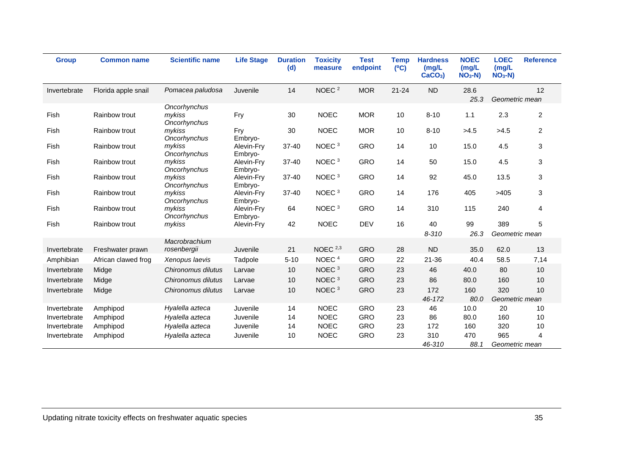| <b>Group</b> | <b>Common name</b>  | <b>Scientific name</b>                 | <b>Life Stage</b>     | <b>Duration</b><br>(d) | <b>Toxicity</b><br>measure | <b>Test</b><br>endpoint | <b>Temp</b><br>(C) | <b>Hardness</b><br>(mg/L)<br>$CaCO3$ ) | <b>NOEC</b><br>(mg/L)<br>$NO3-N)$ | <b>LOEC</b><br>(mg/L)<br>$NO3-N)$ | <b>Reference</b> |
|--------------|---------------------|----------------------------------------|-----------------------|------------------------|----------------------------|-------------------------|--------------------|----------------------------------------|-----------------------------------|-----------------------------------|------------------|
| Invertebrate | Florida apple snail | Pomacea paludosa                       | Juvenile              | 14                     | NOEC <sup>2</sup>          | <b>MOR</b>              | $21 - 24$          | <b>ND</b>                              | 28.6<br>25.3                      | Geometric mean                    | 12               |
| Fish         | Rainbow trout       | Oncorhynchus<br>mykiss<br>Oncorhynchus | Fry                   | 30                     | <b>NOEC</b>                | <b>MOR</b>              | 10                 | $8 - 10$                               | 1.1                               | 2.3                               | $\overline{c}$   |
| Fish         | Rainbow trout       | mykiss<br>Oncorhynchus                 | Fry<br>Embryo-        | 30                     | <b>NOEC</b>                | <b>MOR</b>              | 10                 | $8 - 10$                               | >4.5                              | >4.5                              | $\overline{c}$   |
| Fish         | Rainbow trout       | mykiss<br>Oncorhynchus                 | Alevin-Fry<br>Embryo- | $37 - 40$              | NOEC $3$                   | <b>GRO</b>              | 14                 | 10                                     | 15.0                              | 4.5                               | 3                |
| Fish         | Rainbow trout       | mykiss<br>Oncorhynchus                 | Alevin-Fry<br>Embryo- | 37-40                  | NOEC <sup>3</sup>          | <b>GRO</b>              | 14                 | 50                                     | 15.0                              | 4.5                               | 3                |
| Fish         | Rainbow trout       | mykiss<br>Oncorhynchus                 | Alevin-Fry<br>Embryo- | 37-40                  | NOEC <sup>3</sup>          | <b>GRO</b>              | 14                 | 92                                     | 45.0                              | 13.5                              | 3                |
| Fish         | Rainbow trout       | mykiss<br>Oncorhynchus                 | Alevin-Fry<br>Embryo- | $37 - 40$              | NOEC <sup>3</sup>          | <b>GRO</b>              | 14                 | 176                                    | 405                               | >405                              | 3                |
| Fish         | Rainbow trout       | mykiss<br>Oncorhynchus                 | Alevin-Fry<br>Embrvo- | 64                     | NOEC $3$                   | <b>GRO</b>              | 14                 | 310                                    | 115                               | 240                               | 4                |
| Fish         | Rainbow trout       | mykiss                                 | Alevin-Fry            | 42                     | <b>NOEC</b>                | <b>DEV</b>              | 16                 | 40<br>$8 - 310$                        | 99<br>26.3                        | 389<br>Geometric mean             | 5                |
| Invertebrate | Freshwater prawn    | Macrobrachium<br>rosenbergii           | Juvenile              | 21                     | NOEC $2,3$                 | <b>GRO</b>              | 28                 | <b>ND</b>                              | 35.0                              | 62.0                              | 13               |
| Amphibian    | African clawed frog | Xenopus laevis                         | Tadpole               | $5 - 10$               | NOEC <sup>4</sup>          | <b>GRO</b>              | 22                 | 21-36                                  | 40.4                              | 58.5                              | 7,14             |
| Invertebrate | Midge               | Chironomus dilutus                     | Larvae                | 10                     | NOEC $3$                   | <b>GRO</b>              | 23                 | 46                                     | 40.0                              | 80                                | 10               |
| Invertebrate | Midge               | Chironomus dilutus                     | Larvae                | 10                     | NOEC <sup>3</sup>          | <b>GRO</b>              | 23                 | 86                                     | 80.0                              | 160                               | 10               |
| Invertebrate | Midge               | Chironomus dilutus                     | Larvae                | 10                     | NOEC <sup>3</sup>          | <b>GRO</b>              | 23                 | 172<br>46-172                          | 160<br>80.0                       | 320<br>Geometric mean             | 10               |
| Invertebrate | Amphipod            | Hyalella azteca                        | Juvenile              | 14                     | <b>NOEC</b>                | <b>GRO</b>              | 23                 | 46                                     | 10.0                              | 20                                | 10               |
| Invertebrate | Amphipod            | Hyalella azteca                        | Juvenile              | 14                     | <b>NOEC</b>                | <b>GRO</b>              | 23                 | 86                                     | 80.0                              | 160                               | 10               |
| Invertebrate | Amphipod            | Hyalella azteca                        | Juvenile              | 14                     | <b>NOEC</b>                | <b>GRO</b>              | 23                 | 172                                    | 160                               | 320                               | 10               |
| Invertebrate | Amphipod            | Hyalella azteca                        | Juvenile              | 10                     | <b>NOEC</b>                | <b>GRO</b>              | 23                 | 310<br>46-310                          | 470<br>88.1                       | 965<br>Geometric mean             | 4                |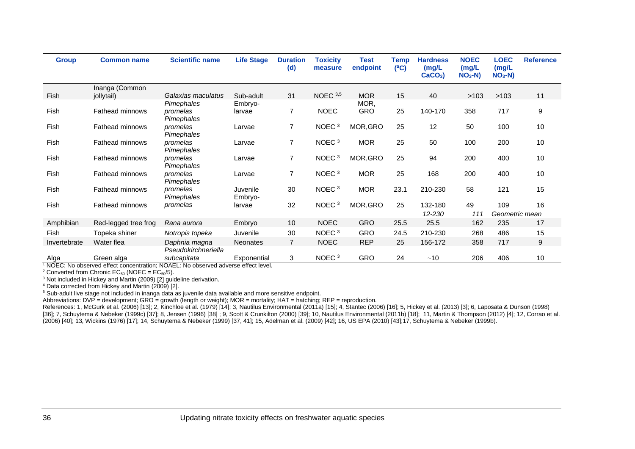| <b>Group</b> | <b>Common name</b>     | <b>Scientific name</b> | <b>Life Stage</b>   | <b>Duration</b><br>(d) | <b>Toxicity</b><br>measure | Test<br>endpoint | Temp<br>(C) | <b>Hardness</b><br>(mg/L)<br>CaCO <sub>3</sub> | <b>NOEC</b><br>(mg/L<br>$NO3-N)$ | <b>LOEC</b><br>(mg/L)<br>$NO3-N)$ | <b>Reference</b> |
|--------------|------------------------|------------------------|---------------------|------------------------|----------------------------|------------------|-------------|------------------------------------------------|----------------------------------|-----------------------------------|------------------|
|              | Inanga (Common         |                        |                     |                        |                            |                  |             |                                                |                                  |                                   |                  |
| Fish         | jollytail)             | Galaxias maculatus     | Sub-adult           | 31                     | NOEC $3,5$                 | <b>MOR</b>       | 15          | 40                                             | >103                             | >103                              | 11               |
|              |                        | Pimephales             | Embryo-             |                        |                            | MOR,             |             |                                                |                                  |                                   |                  |
| Fish         | Fathead minnows        | promelas<br>Pimephales | larvae              | $\overline{7}$         | <b>NOEC</b>                | <b>GRO</b>       | 25          | 140-170                                        | 358                              | 717                               | 9                |
| Fish         | <b>Fathead minnows</b> | promelas<br>Pimephales | Larvae              | $\overline{7}$         | NOEC <sup>3</sup>          | MOR, GRO         | 25          | 12                                             | 50                               | 100                               | 10               |
| Fish         | <b>Fathead minnows</b> | promelas<br>Pimephales | Larvae              | $\overline{7}$         | NOEC <sup>3</sup>          | <b>MOR</b>       | 25          | 50                                             | 100                              | 200                               | 10               |
| Fish         | <b>Fathead minnows</b> | promelas<br>Pimephales | Larvae              | $\overline{7}$         | NOEC <sup>3</sup>          | MOR, GRO         | 25          | 94                                             | 200                              | 400                               | 10               |
| Fish         | Fathead minnows        | promelas<br>Pimephales | Larvae              | $\overline{7}$         | NOEC <sup>3</sup>          | <b>MOR</b>       | 25          | 168                                            | 200                              | 400                               | 10               |
| Fish         | <b>Fathead minnows</b> | promelas<br>Pimephales | Juvenile<br>Embryo- | 30                     | NOEC <sup>3</sup>          | <b>MOR</b>       | 23.1        | 210-230                                        | 58                               | 121                               | 15               |
| Fish         | <b>Fathead minnows</b> | promelas               | larvae              | 32                     | NOEC <sup>3</sup>          | MOR, GRO         | 25          | 132-180                                        | 49                               | 109                               | 16               |
|              |                        |                        |                     |                        |                            |                  |             | 12-230                                         | 111                              | Geometric mean                    |                  |
| Amphibian    | Red-legged tree frog   | Rana aurora            | Embryo              | 10                     | <b>NOEC</b>                | <b>GRO</b>       | 25.5        | 25.5                                           | 162                              | 235                               | 17               |
| Fish         | Topeka shiner          | Notropis topeka        | Juvenile            | 30                     | NOEC <sup>3</sup>          | <b>GRO</b>       | 24.5        | 210-230                                        | 268                              | 486                               | 15               |
| Invertebrate | Water flea             | Daphnia magna          | <b>Neonates</b>     | $\overline{7}$         | <b>NOEC</b>                | <b>REP</b>       | 25          | 156-172                                        | 358                              | 717                               | 9                |
|              |                        | Pseudokirchneriella    |                     |                        |                            |                  |             |                                                |                                  |                                   |                  |
| Alga         | Green alga             | subcapitata            | Exponential         | 3                      | NOEC $3$                   | GRO              | 24          | ~10                                            | 206                              | 406                               | 10               |

<sup>1</sup> NOEC: No observed effect concentration; NOAEL: No observed adverse effect level.

<sup>2</sup> Converted from Chronic EC<sub>50</sub> (NOEC =  $EC_{50}/5$ ).

<sup>3</sup> Not included in Hickey and Martin (2009) [\[2\]](#page-27-15) quideline derivation.

<sup>4</sup> Data corrected from Hickey and Martin (2009) [\[2\]](#page-27-15).

<sup>5</sup> Sub-adult live stage not included in inanga data as juvenile data available and more sensitive endpoint.

Abbreviations: DVP = development; GRO = growth (length or weight); MOR = mortality; HAT = hatching; REP = reproduction.

References: 1, McGurk et al. (2006) [\[13\]](#page-27-16); 2, Kinchloe et al. (1979) [\[14\]](#page-27-17); 3, Nautilus Environmental (2011a) [\[15\]](#page-28-15); 4, Stantec (2006) [\[16\]](#page-28-16); 5, Hickey et al. (2013) [\[3\];](#page-27-18) 6, Laposata & Dunson (1998)<br>References: 1, McGurk et al [\[36\]](#page-29-6); 7, Schuytema & Nebeker (1999c) [\[37\]](#page-29-7); 8, Jensen (1996) [\[38\]](#page-29-8) ; 9, Scott & Crunkilton (2000) [\[39\];](#page-29-9) 10, Nautilus Environmental (2011b) [\[18\]](#page-28-17); 11, Martin & Thompson (2012) [\[4\];](#page-27-19) 12, Corrao et al. (2006) [\[40\]](#page-29-10); 13, Wickins (1976) [\[17\];](#page-28-18) 14, Schuytema & Nebeker (1999) [\[37,](#page-29-7) [41\];](#page-29-11) 15, Adelman et al. (2009) [\[42\];](#page-29-12) 16, US EPA (2010) [\[43\];](#page-29-13)17, Schuytema & Nebeker (1999b).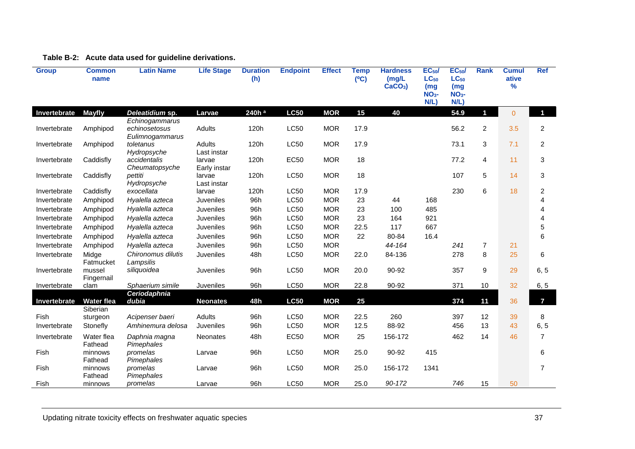<span id="page-36-0"></span>

| <b>Group</b> | <b>Common</b><br>name         | <b>Latin Name</b>                 | <b>Life Stage</b>      | <b>Duration</b><br>(h) | <b>Endpoint</b> | <b>Effect</b> | <b>Temp</b><br>(C) | <b>Hardness</b><br>(mg/L)<br>$CaCO3$ ) | <b>EC<sub>50</sub></b><br>$LC_{50}$<br>(mg)<br>NO <sub>3</sub><br>N/L | EC <sub>50</sub> /<br>$LC_{50}$<br>(mg)<br>$NO3$ -<br>N/L) | <b>Rank</b>    | <b>Cumul</b><br>ative<br>$\frac{9}{6}$ | Ref            |
|--------------|-------------------------------|-----------------------------------|------------------------|------------------------|-----------------|---------------|--------------------|----------------------------------------|-----------------------------------------------------------------------|------------------------------------------------------------|----------------|----------------------------------------|----------------|
| Invertebrate | <b>Mayfly</b>                 | Deleatidium sp.<br>Echinogammarus | Larvae                 | 240h a                 | <b>LC50</b>     | <b>MOR</b>    | 15                 | 40                                     |                                                                       | 54.9                                                       | $\blacksquare$ | $\overline{0}$                         | $\blacksquare$ |
| Invertebrate | Amphipod                      | echinosetosus<br>Eulimnogammarus  | Adults                 | 120h                   | <b>LC50</b>     | <b>MOR</b>    | 17.9               |                                        |                                                                       | 56.2                                                       | $\overline{c}$ | 3.5                                    | $\overline{c}$ |
| Invertebrate | Amphipod                      | toletanus<br>Hydropsyche          | Adults<br>Last instar  | 120h                   | <b>LC50</b>     | <b>MOR</b>    | 17.9               |                                        |                                                                       | 73.1                                                       | 3              | 7.1                                    | 2              |
| Invertebrate | Caddisfly                     | accidentalis<br>Cheumatopsyche    | larvae<br>Early instar | 120h                   | EC50            | <b>MOR</b>    | 18                 |                                        |                                                                       | 77.2                                                       | 4              | 11                                     | 3              |
| Invertebrate | Caddisfly                     | pettiti<br>Hydropsyche            | larvae<br>Last instar  | 120h                   | <b>LC50</b>     | <b>MOR</b>    | 18                 |                                        |                                                                       | 107                                                        | 5              | 14                                     | 3              |
| Invertebrate | Caddisfly                     | exocellata                        | larvae                 | 120h                   | <b>LC50</b>     | <b>MOR</b>    | 17.9               |                                        |                                                                       | 230                                                        | 6              | 18                                     | $\overline{c}$ |
| Invertebrate | Amphipod                      | Hyalella azteca                   | Juveniles              | 96h                    | <b>LC50</b>     | <b>MOR</b>    | 23                 | 44                                     | 168                                                                   |                                                            |                |                                        | 4              |
| Invertebrate | Amphipod                      | Hyalella azteca                   | <b>Juveniles</b>       | 96h                    | <b>LC50</b>     | <b>MOR</b>    | 23                 | 100                                    | 485                                                                   |                                                            |                |                                        | 4              |
| Invertebrate | Amphipod                      | Hyalella azteca                   | Juveniles              | 96h                    | LC50            | <b>MOR</b>    | 23                 | 164                                    | 921                                                                   |                                                            |                |                                        | 4              |
| Invertebrate | Amphipod                      | Hyalella azteca                   | Juveniles              | 96h                    | <b>LC50</b>     | <b>MOR</b>    | 22.5               | 117                                    | 667                                                                   |                                                            |                |                                        | 5              |
| Invertebrate | Amphipod                      | Hyalella azteca                   | <b>Juveniles</b>       | 96h                    | <b>LC50</b>     | <b>MOR</b>    | 22                 | 80-84                                  | 16.4                                                                  |                                                            |                |                                        | 6              |
| Invertebrate | Amphipod                      | Hyalella azteca                   | <b>Juveniles</b>       | 96h                    | <b>LC50</b>     | <b>MOR</b>    |                    | 44-164                                 |                                                                       | 241                                                        | $\overline{7}$ | 21                                     |                |
| Invertebrate | Midge<br>Fatmucket            | Chironomus dilutis<br>Lampsilis   | <b>Juveniles</b>       | 48h                    | <b>LC50</b>     | <b>MOR</b>    | 22.0               | 84-136                                 |                                                                       | 278                                                        | 8              | 25                                     | 6              |
| Invertebrate | mussel<br>Fingernail          | siliquoidea                       | Juveniles              | 96h                    | <b>LC50</b>     | <b>MOR</b>    | 20.0               | 90-92                                  |                                                                       | 357                                                        | 9              | 29                                     | 6, 5           |
| Invertebrate | clam                          | Sphaerium simile<br>Ceriodaphnia  | Juveniles              | 96h                    | LC50            | <b>MOR</b>    | 22.8               | 90-92                                  |                                                                       | 371                                                        | 10             | 32                                     | 6, 5           |
| Invertebrate | <b>Water flea</b><br>Siberian | dubia                             | <b>Neonates</b>        | 48h                    | <b>LC50</b>     | <b>MOR</b>    | 25                 |                                        |                                                                       | 374                                                        | 11             | 36                                     | $\overline{7}$ |
| Fish         | sturgeon                      | Acipenser baeri                   | Adults                 | 96h                    | <b>LC50</b>     | <b>MOR</b>    | 22.5               | 260                                    |                                                                       | 397                                                        | 12             | 39                                     | 8              |
| Invertebrate | Stonefly                      | Amhinemura delosa                 | <b>Juveniles</b>       | 96h                    | <b>LC50</b>     | <b>MOR</b>    | 12.5               | 88-92                                  |                                                                       | 456                                                        | 13             | 43                                     | 6, 5           |
| Invertebrate | Water flea<br>Fathead         | Daphnia magna<br>Pimephales       | Neonates               | 48h                    | <b>EC50</b>     | <b>MOR</b>    | 25                 | 156-172                                |                                                                       | 462                                                        | 14             | 46                                     | $\overline{7}$ |
| Fish         | minnows<br>Fathead            | promelas<br>Pimephales            | Larvae                 | 96h                    | <b>LC50</b>     | <b>MOR</b>    | 25.0               | 90-92                                  | 415                                                                   |                                                            |                |                                        | 6              |
| Fish         | minnows<br>Fathead            | promelas<br>Pimephales            | Larvae                 | 96h                    | <b>LC50</b>     | <b>MOR</b>    | 25.0               | 156-172                                | 1341                                                                  |                                                            |                |                                        | $\overline{7}$ |
| Fish         | minnows                       | promelas                          | Larvae                 | 96h                    | LC50            | <b>MOR</b>    | 25.0               | 90-172                                 |                                                                       | 746                                                        | 15             | 50                                     |                |

### **Table B-2: Acute data used for guideline derivations.**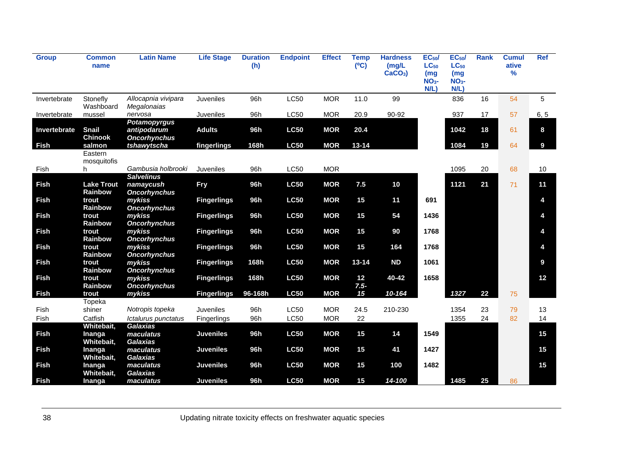| <b>Group</b> | Common<br>name                 | <b>Latin Name</b>                                         | <b>Life Stage</b>  | <b>Duration</b><br>(h) | <b>Endpoint</b> | <b>Effect</b> | <b>Temp</b><br>(C) | <b>Hardness</b><br>(mg/L)<br>$CaCO3$ ) | EC <sub>50</sub><br>$LC_{50}$<br>(mg)<br>$NO3$ -<br>N/L | EC <sub>50</sub><br>$LC_{50}$<br>(mg)<br>NO <sub>3</sub><br>N/L | <b>Rank</b> | <b>Cumul</b><br>ative<br>% | Ref  |
|--------------|--------------------------------|-----------------------------------------------------------|--------------------|------------------------|-----------------|---------------|--------------------|----------------------------------------|---------------------------------------------------------|-----------------------------------------------------------------|-------------|----------------------------|------|
| Invertebrate | Stonefly<br>Washboard          | Allocapnia vivipara<br>Megalonaias                        | Juveniles          | 96h                    | <b>LC50</b>     | <b>MOR</b>    | 11.0               | 99                                     |                                                         | 836                                                             | 16          | 54                         | 5    |
| Invertebrate | mussel                         | nervosa                                                   | Juveniles          | 96h                    | <b>LC50</b>     | <b>MOR</b>    | 20.9               | 90-92                                  |                                                         | 937                                                             | 17          | 57                         | 6, 5 |
| Invertebrate | <b>Snail</b><br><b>Chinook</b> | <b>Potamopyrgus</b><br>antipodarum<br><b>Oncorhynchus</b> | <b>Adults</b>      | 96h                    | <b>LC50</b>     | <b>MOR</b>    | 20.4               |                                        |                                                         | 1042                                                            | 18          | 61                         | 8    |
| <b>Fish</b>  | salmon                         | tshawytscha                                               | fingerlings        | 168h                   | <b>LC50</b>     | <b>MOR</b>    | $13 - 14$          |                                        |                                                         | 1084                                                            | 19          | 64                         | 9    |
|              | Eastern<br>mosquitofis         |                                                           |                    |                        |                 |               |                    |                                        |                                                         |                                                                 |             |                            |      |
| Fish         | h                              | Gambusia holbrooki                                        | Juveniles          | 96h                    | <b>LC50</b>     | <b>MOR</b>    |                    |                                        |                                                         | 1095                                                            | 20          | 68                         | 10   |
| <b>Fish</b>  | <b>Lake Trout</b><br>Rainbow   | <b>Salvelinus</b><br>namaycush<br><b>Oncorhynchus</b>     | <b>Fry</b>         | 96h                    | <b>LC50</b>     | <b>MOR</b>    | 7.5                | 10                                     |                                                         | 1121                                                            | 21          | 71                         | 11   |
| <b>Fish</b>  | trout<br>Rainbow               | mykiss<br><b>Oncorhynchus</b>                             | <b>Fingerlings</b> | 96h                    | <b>LC50</b>     | <b>MOR</b>    | 15                 | 11                                     | 691                                                     |                                                                 |             |                            | 4    |
| <b>Fish</b>  | trout<br>Rainbow               | mykiss<br><b>Oncorhynchus</b>                             | <b>Fingerlings</b> | 96h                    | <b>LC50</b>     | <b>MOR</b>    | 15                 | 54                                     | 1436                                                    |                                                                 |             |                            | 4    |
| <b>Fish</b>  | trout<br>Rainbow               | mykiss<br><b>Oncorhynchus</b>                             | <b>Fingerlings</b> | 96h                    | <b>LC50</b>     | <b>MOR</b>    | 15                 | 90                                     | 1768                                                    |                                                                 |             |                            | 4    |
| <b>Fish</b>  | trout<br>Rainbow               | mykiss<br><b>Oncorhynchus</b>                             | <b>Fingerlings</b> | 96h                    | <b>LC50</b>     | <b>MOR</b>    | 15                 | 164                                    | 1768                                                    |                                                                 |             |                            | 4    |
| <b>Fish</b>  | trout<br>Rainbow               | mykiss<br><b>Oncorhynchus</b>                             | <b>Fingerlings</b> | 168h                   | <b>LC50</b>     | <b>MOR</b>    | $13 - 14$          | <b>ND</b>                              | 1061                                                    |                                                                 |             |                            | 9    |
| <b>Fish</b>  | trout<br>Rainbow               | mykiss<br><b>Oncorhynchus</b>                             | <b>Fingerlings</b> | 168h                   | <b>LC50</b>     | <b>MOR</b>    | 12<br>$7.5 -$      | 40-42                                  | 1658                                                    |                                                                 |             |                            | 12   |
| <b>Fish</b>  | trout                          | mykiss                                                    | <b>Fingerlings</b> | 96-168h                | <b>LC50</b>     | <b>MOR</b>    | 15                 | 10-164                                 |                                                         | 1327                                                            | 22          | 75                         |      |
|              | Topeka                         |                                                           |                    |                        |                 |               |                    |                                        |                                                         |                                                                 |             |                            |      |
| Fish         | shiner                         | Notropis topeka                                           | <b>Juveniles</b>   | 96h                    | <b>LC50</b>     | <b>MOR</b>    | 24.5               | 210-230                                |                                                         | 1354                                                            | 23          | 79                         | 13   |
| Fish         | Catfish                        | Ictalurus punctatus                                       | Fingerlings        | 96h                    | <b>LC50</b>     | <b>MOR</b>    | 22                 |                                        |                                                         | 1355                                                            | 24          | 82                         | 14   |
|              | Whitebait,                     | <b>Galaxias</b>                                           |                    |                        |                 |               |                    |                                        |                                                         |                                                                 |             |                            |      |
| <b>Fish</b>  | <b>Inanga</b><br>Whitebait,    | maculatus<br><b>Galaxias</b>                              | <b>Juveniles</b>   | 96h                    | <b>LC50</b>     | <b>MOR</b>    | 15                 | 14                                     | 1549                                                    |                                                                 |             |                            | 15   |
| <b>Fish</b>  | Inanga<br>Whitebait,           | maculatus<br>Galaxias                                     | <b>Juveniles</b>   | 96h                    | <b>LC50</b>     | <b>MOR</b>    | 15                 | 41                                     | 1427                                                    |                                                                 |             |                            | 15   |
| <b>Fish</b>  | Inanga<br>Whitebait,           | maculatus<br><b>Galaxias</b>                              | <b>Juveniles</b>   | 96h                    | <b>LC50</b>     | <b>MOR</b>    | 15                 | 100                                    | 1482                                                    |                                                                 |             |                            | 15   |
| <b>Fish</b>  | Inanga                         | maculatus                                                 | <b>Juveniles</b>   | 96h                    | <b>LC50</b>     | <b>MOR</b>    | 15                 | 14-100                                 |                                                         | 1485                                                            | 25          | 86                         |      |